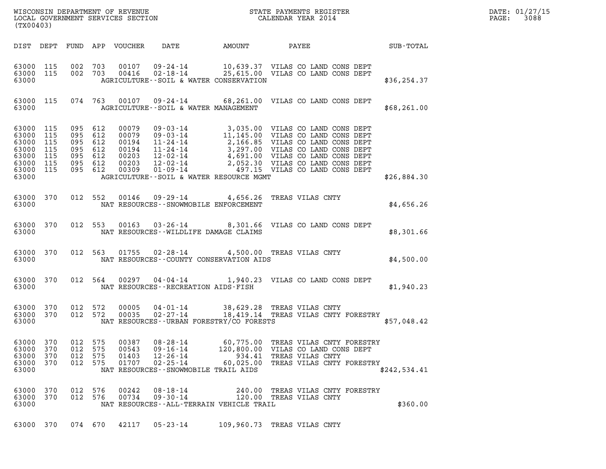| WISCONSIN DEPARTMENT OF REVENUE   | STATE PAYMENTS REGISTER | DATE: 01/27/15 |
|-----------------------------------|-------------------------|----------------|
| LOCAL GOVERNMENT SERVICES SECTION | CALENDAR YEAR 2014      | 3088<br>PAGE:  |

| WISCONSIN DEPARTMENT OF REVENUE<br>LOCAL GOVERNMENT SERVICES SECTION<br>CALENDAR YEAR 2014<br>(TX00403) |                          |                          |                          |                                  |                                                                      |                                                                                                                                                                                 |                         |                                                                                   |              |  | DATE: 01/27/15<br>PAGE: 3088 |
|---------------------------------------------------------------------------------------------------------|--------------------------|--------------------------|--------------------------|----------------------------------|----------------------------------------------------------------------|---------------------------------------------------------------------------------------------------------------------------------------------------------------------------------|-------------------------|-----------------------------------------------------------------------------------|--------------|--|------------------------------|
|                                                                                                         |                          |                          |                          |                                  |                                                                      | DIST DEPT FUND APP VOUCHER DATE AMOUNT PAYEE SUB-TOTAL                                                                                                                          |                         |                                                                                   |              |  |                              |
| 63000 115<br>63000                                                                                      | 63000 115                |                          |                          |                                  |                                                                      | 002 703 00107 09-24-14 10,639.37 VILAS CO LAND CONS DEPT<br>002 703 00416 02-18-14 25,615.00 VILAS CO LAND CONS DEPT<br>AGRICULTURE--SOIL & WATER CONSERVATION                  |                         |                                                                                   | \$36, 254.37 |  |                              |
| 63000                                                                                                   |                          |                          |                          |                                  |                                                                      | 63000 115 074 763 00107 09-24-14 68,261.00 VILAS CO LAND CONS DEPT<br>AGRICULTURE -- SOIL & WATER MANAGEMENT                                                                    |                         |                                                                                   | \$68, 261.00 |  |                              |
| 63000                                                                                                   |                          |                          |                          |                                  |                                                                      | AGRICULTURE--SOIL & WATER RESOURCE MGMT                                                                                                                                         |                         |                                                                                   | \$26,884.30  |  |                              |
|                                                                                                         |                          |                          |                          |                                  |                                                                      | 63000 370 012 552 00146 09-29-14 4,656.26 TREAS VILAS CNTY<br>63000 NAT RESOURCES - SNOWMOBILE ENFORCEMENT                                                                      |                         |                                                                                   | \$4,656.26   |  |                              |
|                                                                                                         |                          |                          |                          |                                  |                                                                      | 63000 370 012 553 00163 03-26-14 8,301.66 VILAS CO LAND CONS DEPT<br>63000 NAT RESOURCES - WILDLIFE DAMAGE CLAIMS                                                               |                         |                                                                                   | \$8,301.66   |  |                              |
|                                                                                                         |                          |                          |                          |                                  |                                                                      | 63000 370 012 563 01755 02-28-14 4,500.00 TREAS VILAS CNTY<br>63000 MAT RESOURCES--COUNTY CONSERVATION AIDS                                                                     |                         |                                                                                   | \$4,500.00   |  |                              |
|                                                                                                         |                          |                          |                          |                                  |                                                                      | 63000 370 012 564 00297 04-04-14 1,940.23 VILAS CO LAND CONS DEPT<br>63000 NAT RESOURCES - RECREATION AIDS - FISH                                                               |                         |                                                                                   | \$1,940.23   |  |                              |
| 63000                                                                                                   |                          |                          |                          |                                  |                                                                      | 63000 370 012 572 00005 04-01-14 38,629.28 TREAS VILAS CNTY<br>63000 370 012 572 00035 02-27-14 18,419.14 TREAS VILAS CNTY FORESTRY<br>NAT RESOURCES--URBAN FORESTRY/CO FORESTS |                         |                                                                                   | \$57,048.42  |  |                              |
| 63000<br>63000<br>63000<br>63000<br>63000                                                               | 370<br>370<br>370<br>370 | 012<br>012<br>012<br>012 | 575<br>575<br>575<br>575 | 00387<br>00543<br>01403<br>01707 | $08 - 28 - 14$<br>$09 - 16 - 14$<br>$12 - 26 - 14$<br>$02 - 25 - 14$ | 60,775.00<br>120,800.00<br>934.41<br>60,025.00<br>NAT RESOURCES - - SNOWMOBILE TRAIL AIDS                                                                                       | TREAS VILAS CNTY        | TREAS VILAS CNTY FORESTRY<br>VILAS CO LAND CONS DEPT<br>TREAS VILAS CNTY FORESTRY | \$242,534.41 |  |                              |
| 63000 370<br>63000<br>63000                                                                             | 370                      | 012 576<br>012 576       |                          | 00242<br>00734                   | $08 - 18 - 14$<br>$09 - 30 - 14$                                     | 240.00<br>NAT RESOURCES - - ALL - TERRAIN VEHICLE TRAIL                                                                                                                         | 120.00 TREAS VILAS CNTY | TREAS VILAS CNTY FORESTRY                                                         | \$360.00     |  |                              |
| 63000 370                                                                                               |                          | 074 670                  |                          | 42117                            | $05 - 23 - 14$                                                       | 109,960.73 TREAS VILAS CNTY                                                                                                                                                     |                         |                                                                                   |              |  |                              |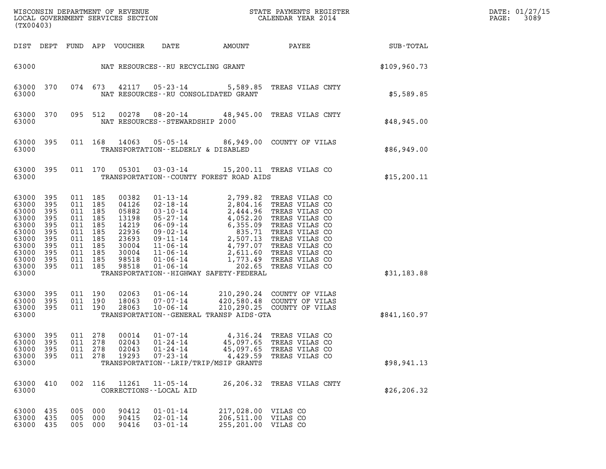| (TX00403)                                                                                                    |                                                                    |                    |                                                                                                 |                                                                                                 |                                                                      |                                                                                            |                                                                                                                                                                                                                                                                                                                                                                      |                  | DATE: 01/27/15<br>3089<br>PAGE: |
|--------------------------------------------------------------------------------------------------------------|--------------------------------------------------------------------|--------------------|-------------------------------------------------------------------------------------------------|-------------------------------------------------------------------------------------------------|----------------------------------------------------------------------|--------------------------------------------------------------------------------------------|----------------------------------------------------------------------------------------------------------------------------------------------------------------------------------------------------------------------------------------------------------------------------------------------------------------------------------------------------------------------|------------------|---------------------------------|
|                                                                                                              | DIST DEPT                                                          |                    |                                                                                                 | FUND APP VOUCHER                                                                                | DATE                                                                 | AMOUNT                                                                                     | PAYEE                                                                                                                                                                                                                                                                                                                                                                | <b>SUB-TOTAL</b> |                                 |
| 63000                                                                                                        |                                                                    |                    |                                                                                                 |                                                                                                 | NAT RESOURCES--RU RECYCLING GRANT                                    |                                                                                            |                                                                                                                                                                                                                                                                                                                                                                      | \$109,960.73     |                                 |
| 63000<br>63000                                                                                               | 370                                                                |                    | 074 673                                                                                         | 42117                                                                                           | $05 - 23 - 14$                                                       | NAT RESOURCES - - RU CONSOLIDATED GRANT                                                    | 5,589.85 TREAS VILAS CNTY                                                                                                                                                                                                                                                                                                                                            | \$5,589.85       |                                 |
| 63000<br>63000                                                                                               | 370                                                                |                    | 095 512                                                                                         | 00278                                                                                           | NAT RESOURCES - - STEWARDSHIP 2000                                   |                                                                                            | 08-20-14 48,945.00 TREAS VILAS CNTY                                                                                                                                                                                                                                                                                                                                  | \$48,945.00      |                                 |
| 63000<br>63000                                                                                               | 395                                                                |                    | 011 168                                                                                         | 14063                                                                                           | TRANSPORTATION--ELDERLY & DISABLED                                   |                                                                                            | 05-05-14 86,949.00 COUNTY OF VILAS                                                                                                                                                                                                                                                                                                                                   | \$86,949.00      |                                 |
| 63000<br>63000                                                                                               | 395                                                                |                    | 011 170                                                                                         | 05301                                                                                           |                                                                      | TRANSPORTATION--COUNTY FOREST ROAD AIDS                                                    | 03-03-14 15,200.11 TREAS VILAS CO                                                                                                                                                                                                                                                                                                                                    | \$15,200.11      |                                 |
| 63000<br>63000<br>63000<br>63000<br>63000<br>63000<br>63000<br>63000<br>63000<br>63000<br>63000 395<br>63000 | 395<br>395<br>395<br>395<br>395<br>395<br>395<br>395<br>395<br>395 | 011 185<br>011 185 | 011 185<br>011 185<br>011 185<br>011 185<br>011 185<br>011 185<br>011 185<br>011 185<br>011 185 | 00382<br>04126<br>05882<br>13198<br>14219<br>22936<br>23693<br>30004<br>30004<br>98518<br>98518 | $01 - 13 - 14$<br>02-18-14<br>$03 - 10 - 14$<br>01-06-14<br>01-06-14 | 202.65<br>TRANSPORTATION - - HIGHWAY SAFETY - FEDERAL                                      | 2,799.82 TREAS VILAS CO<br>2,804.16 TREAS VILAS CO<br>2,444.96 TREAS VILAS CO<br>05-27-14<br>4,052.20 TREAS VILAS CO<br>06-09-14<br>6,355.09 TREAS VILAS CO<br>09-02-14<br>2,507.13 TREAS VILAS CO<br>11-06-14<br>4,797.07 TREAS VILAS CO<br>11-06-14<br>2,611.60 TREAS VILAS CO<br>11-06-14<br>2,611.60 TREAS VILAS CO<br>1,773.49 TREAS VILAS CO<br>TREAS VILAS CO | \$31,183.88      |                                 |
| 63000<br>63000<br>63000<br>63000                                                                             | 395<br>395<br>- 395                                                | 011 190            | 011 190<br>011 190                                                                              | 02063<br>18063<br>28063                                                                         | $01 - 06 - 14$<br>07-07-14<br>$10 - 06 - 14$                         | TRANSPORTATION - - GENERAL TRANSP AIDS - GTA                                               | 210,290.24 COUNTY OF VILAS<br>420,580.48 COUNTY OF VILAS<br>210,290.25 COUNTY OF VILAS                                                                                                                                                                                                                                                                               | \$841,160.97     |                                 |
| 63000<br>63000<br>63000<br>63000<br>63000                                                                    | 395<br>395<br>395<br>395                                           | 011<br>011<br>011  | 278<br>278<br>278<br>011 278                                                                    | 00014<br>02043<br>02043<br>19293                                                                | $01 - 07 - 14$<br>$01 - 24 - 14$<br>$01 - 24 - 14$<br>$07 - 23 - 14$ | 4,316.24<br>45,097.65<br>45,097.65<br>4,429.59<br>TRANSPORTATION - - LRIP/TRIP/MSIP GRANTS | TREAS VILAS CO<br>TREAS VILAS CO<br>TREAS VILAS CO<br>TREAS VILAS CO                                                                                                                                                                                                                                                                                                 | \$98, 941.13     |                                 |
| 63000<br>63000                                                                                               | 410                                                                | 002                | 116                                                                                             | 11261                                                                                           | $11 - 05 - 14$<br>CORRECTIONS - - LOCAL AID                          | 26,206.32                                                                                  | TREAS VILAS CNTY                                                                                                                                                                                                                                                                                                                                                     | \$26, 206.32     |                                 |
| 63000<br>63000<br>63000                                                                                      | 435<br>435<br>435                                                  | 005<br>005<br>005  | 000<br>000<br>000                                                                               | 90412<br>90415<br>90416                                                                         | $01 - 01 - 14$<br>$02 - 01 - 14$<br>$03 - 01 - 14$                   | 217,028.00 VILAS CO<br>206,511.00 VILAS CO<br>255,201.00 VILAS CO                          |                                                                                                                                                                                                                                                                                                                                                                      |                  |                                 |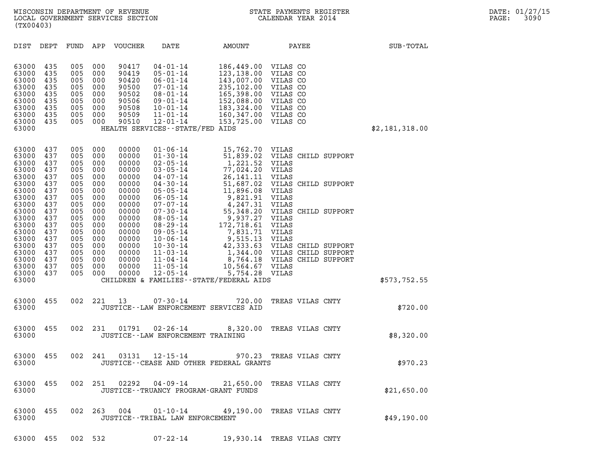| (TX00403)                                                                                                                                    |                                                                                                              |                                                                                                              |                                                                                                              |                                                                                                                                              |                                                                                                                                                                                                                                                                                              |                                                                                                                                                             |                                                                                                                                                                                                                                                  |                |  |
|----------------------------------------------------------------------------------------------------------------------------------------------|--------------------------------------------------------------------------------------------------------------|--------------------------------------------------------------------------------------------------------------|--------------------------------------------------------------------------------------------------------------|----------------------------------------------------------------------------------------------------------------------------------------------|----------------------------------------------------------------------------------------------------------------------------------------------------------------------------------------------------------------------------------------------------------------------------------------------|-------------------------------------------------------------------------------------------------------------------------------------------------------------|--------------------------------------------------------------------------------------------------------------------------------------------------------------------------------------------------------------------------------------------------|----------------|--|
| DIST                                                                                                                                         | DEPT                                                                                                         | FUND                                                                                                         | APP                                                                                                          | VOUCHER                                                                                                                                      | DATE                                                                                                                                                                                                                                                                                         | AMOUNT                                                                                                                                                      | PAYEE                                                                                                                                                                                                                                            | SUB-TOTAL      |  |
| 63000<br>63000<br>63000<br>63000<br>63000<br>63000<br>63000<br>63000<br>63000<br>63000                                                       | 435<br>435<br>435<br>435<br>435<br>435<br>435<br>435<br>435                                                  | 005<br>005<br>005<br>005<br>005<br>005<br>005<br>005<br>005                                                  | 000<br>000<br>000<br>000<br>000<br>000<br>000<br>000<br>000                                                  | 90417<br>90419<br>90420<br>90500<br>90502<br>90506<br>90508<br>90509<br>90510                                                                | $04 - 01 - 14$<br>$05 - 01 - 14$<br>$06 - 01 - 14$<br>$07 - 01 - 14$<br>$08 - 01 - 14$<br>$09 - 01 - 14$<br>$10 - 01 - 14$<br>$11 - 01 - 14$<br>$12 - 01 - 14$<br>HEALTH SERVICES--STATE/FED AIDS                                                                                            | 186,449.00<br>123,138.00<br>143,007.00<br>235,102.00<br>165,398.00<br>152,088.00<br>183,324.00 VILAS CO<br>160,347.00 VILAS CO<br>153,725.00                | VILAS CO<br>VILAS CO<br>VILAS CO<br>VILAS CO<br>VILAS CO<br>VILAS CO<br>VILAS CO                                                                                                                                                                 | \$2,181,318.00 |  |
| 63000<br>63000<br>63000<br>63000<br>63000<br>63000<br>63000<br>63000<br>63000<br>63000<br>63000<br>63000<br>63000<br>63000<br>63000<br>63000 | 437<br>437<br>437<br>437<br>437<br>437<br>437<br>437<br>437<br>437<br>437<br>437<br>437<br>437<br>437<br>437 | 005<br>005<br>005<br>005<br>005<br>005<br>005<br>005<br>005<br>005<br>005<br>005<br>005<br>005<br>005<br>005 | 000<br>000<br>000<br>000<br>000<br>000<br>000<br>000<br>000<br>000<br>000<br>000<br>000<br>000<br>000<br>000 | 00000<br>00000<br>00000<br>00000<br>00000<br>00000<br>00000<br>00000<br>00000<br>00000<br>00000<br>00000<br>00000<br>00000<br>00000<br>00000 | $01 - 06 - 14$<br>$01 - 30 - 14$<br>$02 - 05 - 14$<br>$03 - 05 - 14$<br>$04 - 07 - 14$<br>$04 - 30 - 14$<br>$05 - 05 - 14$<br>$06 - 05 - 14$<br>$07 - 07 - 14$<br>$07 - 30 - 14$<br>$08 - 05 - 14$<br>$08 - 29 - 14$<br>$09 - 05 - 14$<br>$10 - 06 - 14$<br>$10 - 30 - 14$<br>$11 - 03 - 14$ | 15,762.70 VILAS<br>1,221.52<br>77,024.20<br>26, 141. 11<br>51,687.02<br>11,896.08<br>9,821.91<br>4,247.31<br>9,937.27<br>172,718.61<br>7,831.71<br>9,515.13 | 51,839.02 VILAS CHILD SUPPORT<br>VILAS<br>VILAS<br>VILAS<br>VILAS CHILD SUPPORT<br>VILAS<br>VILAS<br>VILAS<br>55,348.20 VILAS CHILD SUPPORT<br>VILAS<br>VILAS<br>VILAS<br>VILAS<br>42,333.63 VILAS CHILD SUPPORT<br>1,344.00 VILAS CHILD SUPPORT |                |  |
| 63000<br>63000<br>63000<br>63000                                                                                                             | 437<br>437<br>437                                                                                            | 005<br>005<br>005                                                                                            | 000<br>000<br>000                                                                                            | 00000<br>00000<br>00000                                                                                                                      | $11 - 04 - 14$<br>$11 - 05 - 14$<br>$12 - 05 - 14$                                                                                                                                                                                                                                           | 10,564.67 VILAS<br>5,754.28<br>CHILDREN & FAMILIES - - STATE/FEDERAL AIDS                                                                                   | 8,764.18 VILAS CHILD SUPPORT<br>VILAS                                                                                                                                                                                                            | \$573,752.55   |  |
| 63000<br>63000                                                                                                                               | 455                                                                                                          | 002                                                                                                          | 221                                                                                                          | 13                                                                                                                                           | $07 - 30 - 14$<br>JUSTICE--LAW ENFORCEMENT SERVICES AID                                                                                                                                                                                                                                      | 720.00                                                                                                                                                      | TREAS VILAS CNTY                                                                                                                                                                                                                                 | \$720.00       |  |
| 63000<br>63000                                                                                                                               | 455                                                                                                          | 002                                                                                                          | 231                                                                                                          | 01791                                                                                                                                        | $02 - 26 - 14$<br>JUSTICE - - LAW ENFORCEMENT TRAINING                                                                                                                                                                                                                                       | 8,320.00                                                                                                                                                    | TREAS VILAS CNTY                                                                                                                                                                                                                                 | \$8,320.00     |  |
| 63000<br>63000                                                                                                                               | 455                                                                                                          | 002                                                                                                          | 241                                                                                                          | 03131                                                                                                                                        | $12 - 15 - 14$                                                                                                                                                                                                                                                                               | 970.23<br>JUSTICE -- CEASE AND OTHER FEDERAL GRANTS                                                                                                         | TREAS VILAS CNTY                                                                                                                                                                                                                                 | \$970.23       |  |
| 63000<br>63000                                                                                                                               | 455                                                                                                          | 002                                                                                                          | 251                                                                                                          | 02292                                                                                                                                        | 04-09-14<br>JUSTICE - - TRUANCY PROGRAM - GRANT FUNDS                                                                                                                                                                                                                                        |                                                                                                                                                             | 21,650.00 TREAS VILAS CNTY                                                                                                                                                                                                                       | \$21,650.00    |  |
| 63000<br>63000                                                                                                                               | 455                                                                                                          | 002                                                                                                          | 263                                                                                                          | 004                                                                                                                                          | 01-10-14<br>JUSTICE - - TRIBAL LAW ENFORCEMENT                                                                                                                                                                                                                                               | 49,190.00                                                                                                                                                   | TREAS VILAS CNTY                                                                                                                                                                                                                                 | \$49,190.00    |  |
| 63000 455                                                                                                                                    |                                                                                                              | 002 532                                                                                                      |                                                                                                              |                                                                                                                                              | $07 - 22 - 14$                                                                                                                                                                                                                                                                               |                                                                                                                                                             | 19,930.14 TREAS VILAS CNTY                                                                                                                                                                                                                       |                |  |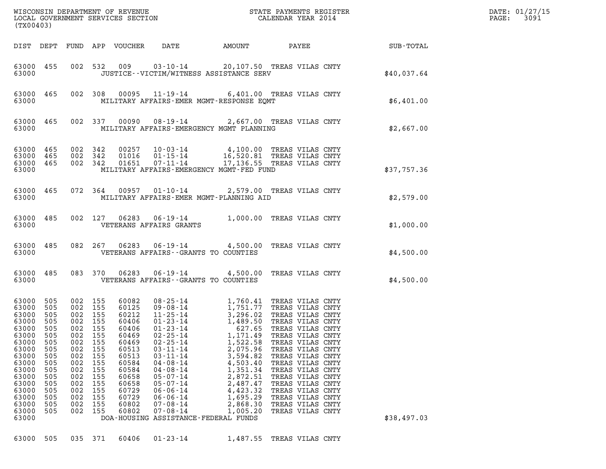| (TX00403)                                                                                                                                                                                                                                                                                                                                                                                                                                                                                                                                                                                                                                                                                                                                                                                                                                                                                                                                                                                                                                                                                                                                                                                                                                                                                                                                                                                                                                                                                                                                                      | DATE: 01/27/15<br>3091<br>PAGE: |
|----------------------------------------------------------------------------------------------------------------------------------------------------------------------------------------------------------------------------------------------------------------------------------------------------------------------------------------------------------------------------------------------------------------------------------------------------------------------------------------------------------------------------------------------------------------------------------------------------------------------------------------------------------------------------------------------------------------------------------------------------------------------------------------------------------------------------------------------------------------------------------------------------------------------------------------------------------------------------------------------------------------------------------------------------------------------------------------------------------------------------------------------------------------------------------------------------------------------------------------------------------------------------------------------------------------------------------------------------------------------------------------------------------------------------------------------------------------------------------------------------------------------------------------------------------------|---------------------------------|
| DATE<br>AMOUNT PAYEE SUB-TOTAL<br>DIST DEPT FUND APP VOUCHER                                                                                                                                                                                                                                                                                                                                                                                                                                                                                                                                                                                                                                                                                                                                                                                                                                                                                                                                                                                                                                                                                                                                                                                                                                                                                                                                                                                                                                                                                                   |                                 |
| 002 532 009 03-10-14 20,107.50 TREAS VILAS CNTY<br>63000 455<br>63000<br>JUSTICE - - VICTIM/WITNESS ASSISTANCE SERV                                                                                                                                                                                                                                                                                                                                                                                                                                                                                                                                                                                                                                                                                                                                                                                                                                                                                                                                                                                                                                                                                                                                                                                                                                                                                                                                                                                                                                            | \$40,037.64                     |
| 002 308 00095 11-19-14 6,401.00 TREAS VILAS CNTY<br>63000 465<br>63000<br>MILITARY AFFAIRS-EMER MGMT-RESPONSE EOMT                                                                                                                                                                                                                                                                                                                                                                                                                                                                                                                                                                                                                                                                                                                                                                                                                                                                                                                                                                                                                                                                                                                                                                                                                                                                                                                                                                                                                                             | \$6,401.00                      |
| 00090 08-19-14 2,667.00 TREAS VILAS CNTY<br>63000 465<br>002 337<br>63000<br>MILITARY AFFAIRS-EMERGENCY MGMT PLANNING                                                                                                                                                                                                                                                                                                                                                                                                                                                                                                                                                                                                                                                                                                                                                                                                                                                                                                                                                                                                                                                                                                                                                                                                                                                                                                                                                                                                                                          | \$2,667.00                      |
| 00257   10-03-14   4,100.00   TREAS   VILAS   CNTY<br>01016   01-15-14   16,520.81   TREAS   VILAS   CNTY<br>01651   07-11-14   17,136.55   TREAS   VILAS   CNTY<br>63000 465<br>002 342<br>63000<br>465<br>002 342<br>63000 465<br>002 342<br>63000<br>MILITARY AFFAIRS-EMERGENCY MGMT-FED FUND                                                                                                                                                                                                                                                                                                                                                                                                                                                                                                                                                                                                                                                                                                                                                                                                                                                                                                                                                                                                                                                                                                                                                                                                                                                               | \$37,757.36                     |
| 63000 465<br>072 364 00957 01-10-14 2,579.00 TREAS VILAS CNTY<br>63000<br>MILITARY AFFAIRS-EMER MGMT-PLANNING AID                                                                                                                                                                                                                                                                                                                                                                                                                                                                                                                                                                                                                                                                                                                                                                                                                                                                                                                                                                                                                                                                                                                                                                                                                                                                                                                                                                                                                                              | \$2,579.00                      |
| 002 127 06283 06-19-14 1,000.00 TREAS VILAS CNTY<br>63000 485<br>63000<br>VETERANS AFFAIRS GRANTS                                                                                                                                                                                                                                                                                                                                                                                                                                                                                                                                                                                                                                                                                                                                                                                                                                                                                                                                                                                                                                                                                                                                                                                                                                                                                                                                                                                                                                                              | \$1,000.00                      |
| 082  267  06283  06-19-14  4,500.00 TREAS VILAS CNTY<br>63000 485<br>63000<br>VETERANS AFFAIRS--GRANTS TO COUNTIES                                                                                                                                                                                                                                                                                                                                                                                                                                                                                                                                                                                                                                                                                                                                                                                                                                                                                                                                                                                                                                                                                                                                                                                                                                                                                                                                                                                                                                             | \$4,500.00                      |
| 083 370 06283 06-19-14 4,500.00 TREAS VILAS CNTY<br>63000 485<br>63000<br>VETERANS AFFAIRS -- GRANTS TO COUNTIES                                                                                                                                                                                                                                                                                                                                                                                                                                                                                                                                                                                                                                                                                                                                                                                                                                                                                                                                                                                                                                                                                                                                                                                                                                                                                                                                                                                                                                               | \$4,500.00                      |
| 63000<br>505<br>002 155<br>08-25-14 1,760.41 TREAS VILAS CNTY<br>60082<br>09-08-14<br>1,751.77 TREAS VILAS CNTY<br>11-25-14 3,296.02 TREAS VILAS CNTY<br>01-23-14 1,489.50 TREAS VILAS CNTY<br>63000<br>505<br>002<br>155<br>60125<br>63000<br>505<br>002<br>155<br>60212<br>63000<br>505<br>002<br>155<br>60406<br>63000 505<br>002 155<br>60406<br>$01 - 23 - 14$<br>627.65<br>TREAS VILAS CNTY<br>63000<br>505<br>002<br>155<br>60469<br>$02 - 25 - 14$<br>1,171.49<br>TREAS VILAS CNTY<br>63000<br>505<br>155<br>60469<br>$02 - 25 - 14$<br>1,522.58<br>002<br>TREAS VILAS CNTY<br>63000<br>505<br>155<br>60513<br>$03 - 11 - 14$<br>2,075.96<br>TREAS VILAS CNTY<br>002<br>63000<br>505<br>155<br>60513<br>$03 - 11 - 14$<br>3,594.82<br>TREAS VILAS CNTY<br>002<br>63000<br>60584<br>$04 - 08 - 14$<br>4,503.40<br>TREAS VILAS CNTY<br>505<br>002<br>155<br>63000<br>505<br>155<br>60584<br>$04 - 08 - 14$<br>1,351.34<br>TREAS VILAS CNTY<br>002<br>63000<br>60658<br>2,872.51<br>505<br>002<br>155<br>$05 - 07 - 14$<br>TREAS VILAS CNTY<br>63000<br>505<br>155<br>60658<br>2,487.47<br>TREAS VILAS CNTY<br>002<br>$05 - 07 - 14$<br>63000<br>60729<br>4,423.32<br>TREAS VILAS CNTY<br>505<br>002<br>155<br>$06 - 06 - 14$<br>63000<br>155<br>60729<br>1,695.29<br>505<br>002<br>$06 - 06 - 14$<br>TREAS VILAS CNTY<br>63000<br>60802<br>2,868.30<br>TREAS VILAS CNTY<br>505<br>002<br>155<br>$07 - 08 - 14$<br>63000<br>155<br>60802<br>$07 - 08 - 14$<br>1,005.20<br>505<br>002<br>TREAS VILAS CNTY<br>63000<br>DOA-HOUSING ASSISTANCE-FEDERAL FUNDS | \$38,497.03                     |
| 63000<br>505<br>035 371<br>60406<br>$01 - 23 - 14$<br>1,487.55<br>TREAS VILAS CNTY                                                                                                                                                                                                                                                                                                                                                                                                                                                                                                                                                                                                                                                                                                                                                                                                                                                                                                                                                                                                                                                                                                                                                                                                                                                                                                                                                                                                                                                                             |                                 |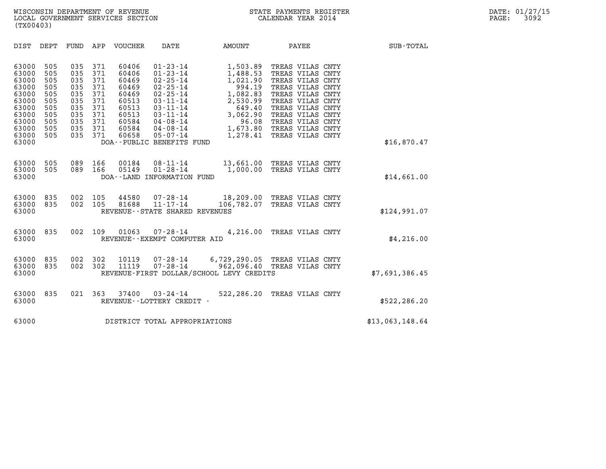| (TX00403)                                                                                                |                                                                           |                                                                           |                                                                           |                                                                                                 |                                                                                                                                                                                                                                 |                                                                                                                           |                                                                                                                                                                                                                          |                 |  |
|----------------------------------------------------------------------------------------------------------|---------------------------------------------------------------------------|---------------------------------------------------------------------------|---------------------------------------------------------------------------|-------------------------------------------------------------------------------------------------|---------------------------------------------------------------------------------------------------------------------------------------------------------------------------------------------------------------------------------|---------------------------------------------------------------------------------------------------------------------------|--------------------------------------------------------------------------------------------------------------------------------------------------------------------------------------------------------------------------|-----------------|--|
| DIST                                                                                                     | DEPT                                                                      | FUND APP                                                                  |                                                                           | VOUCHER                                                                                         | DATE                                                                                                                                                                                                                            | AMOUNT                                                                                                                    | PAYEE                                                                                                                                                                                                                    | SUB-TOTAL       |  |
| 63000<br>63000<br>63000<br>63000<br>63000<br>63000<br>63000<br>63000<br>63000<br>63000<br>63000<br>63000 | 505<br>505<br>505<br>505<br>505<br>505<br>505<br>505<br>505<br>505<br>505 | 035<br>035<br>035<br>035<br>035<br>035<br>035<br>035<br>035<br>035<br>035 | 371<br>371<br>371<br>371<br>371<br>371<br>371<br>371<br>371<br>371<br>371 | 60406<br>60406<br>60469<br>60469<br>60469<br>60513<br>60513<br>60513<br>60584<br>60584<br>60658 | $01 - 23 - 14$<br>$01 - 23 - 14$<br>$02 - 25 - 14$<br>$02 - 25 - 14$<br>$02 - 25 - 14$<br>$03 - 11 - 14$<br>$03 - 11 - 14$<br>$03 - 11 - 14$<br>$04 - 08 - 14$<br>$04 - 08 - 14$<br>$05 - 07 - 14$<br>DOA--PUBLIC BENEFITS FUND | 1,503.89<br>1,488.53<br>1,021.90<br>994.19<br>1,082.83<br>2,530.99<br>649.40<br>3,062.90<br>96.08<br>1,673.80<br>1,278.41 | TREAS VILAS CNTY<br>TREAS VILAS CNTY<br>TREAS VILAS CNTY<br>TREAS VILAS CNTY<br>TREAS VILAS CNTY<br>TREAS VILAS CNTY<br>TREAS VILAS CNTY<br>TREAS VILAS CNTY<br>TREAS VILAS CNTY<br>TREAS VILAS CNTY<br>TREAS VILAS CNTY | \$16,870.47     |  |
| 63000<br>63000<br>63000                                                                                  | 505<br>505                                                                | 089<br>089                                                                | 166<br>166                                                                | 00184<br>05149                                                                                  | $08 - 11 - 14$<br>$01 - 28 - 14$<br>DOA--LAND INFORMATION FUND                                                                                                                                                                  | 1,000.00                                                                                                                  | 13,661.00 TREAS VILAS CNTY<br>TREAS VILAS CNTY                                                                                                                                                                           | \$14,661.00     |  |
| 63000<br>63000<br>63000                                                                                  | 835<br>835                                                                | 002<br>002                                                                | 105<br>105                                                                | 44580<br>81688                                                                                  | $07 - 28 - 14$<br>11-17-14<br>REVENUE - - STATE SHARED REVENUES                                                                                                                                                                 | 106,782.07                                                                                                                | 18,209.00 TREAS VILAS CNTY<br>TREAS VILAS CNTY                                                                                                                                                                           | \$124,991.07    |  |
| 63000<br>63000                                                                                           | 835                                                                       | 002                                                                       | 109                                                                       | 01063                                                                                           | $07 - 28 - 14$<br>REVENUE--EXEMPT COMPUTER AID                                                                                                                                                                                  |                                                                                                                           | 4,216.00 TREAS VILAS CNTY                                                                                                                                                                                                | \$4,216.00      |  |
| 63000<br>63000<br>63000                                                                                  | 835<br>835                                                                | 002<br>002                                                                | 302<br>302                                                                | 10119<br>11119                                                                                  | $07 - 28 - 14$<br>$07 - 28 - 14$                                                                                                                                                                                                | 6,729,290.05 TREAS VILAS CNTY<br>962,096.40<br>REVENUE-FIRST DOLLAR/SCHOOL LEVY CREDITS                                   | TREAS VILAS CNTY                                                                                                                                                                                                         | \$7,691,386.45  |  |
| 63000<br>63000                                                                                           | 835                                                                       | 021                                                                       | 363                                                                       | 37400                                                                                           | $03 - 24 - 14$<br>REVENUE--LOTTERY CREDIT -                                                                                                                                                                                     | 522,286.20                                                                                                                | TREAS VILAS CNTY                                                                                                                                                                                                         | \$522,286.20    |  |
| 63000                                                                                                    |                                                                           |                                                                           |                                                                           |                                                                                                 | DISTRICT TOTAL APPROPRIATIONS                                                                                                                                                                                                   |                                                                                                                           |                                                                                                                                                                                                                          | \$13,063,148.64 |  |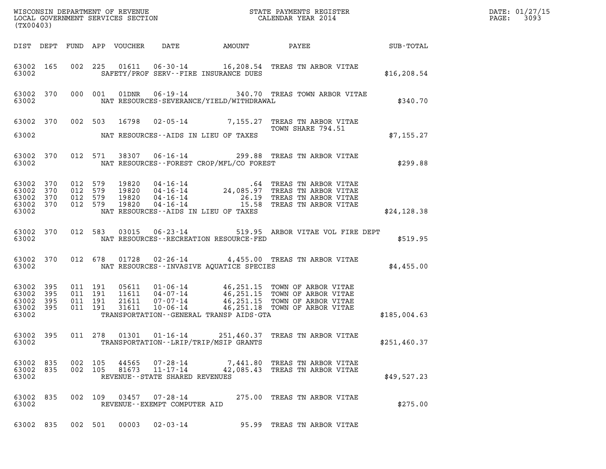| (TX00403)                                             |           |                               |                    |                |                                                     |                                                |                                                                                                                     |              | DATE: 01/27/15<br>3093<br>$\mathtt{PAGE:}$ |
|-------------------------------------------------------|-----------|-------------------------------|--------------------|----------------|-----------------------------------------------------|------------------------------------------------|---------------------------------------------------------------------------------------------------------------------|--------------|--------------------------------------------|
|                                                       |           |                               |                    |                |                                                     |                                                |                                                                                                                     |              |                                            |
| 63002                                                 | 63002 165 |                               |                    |                |                                                     | SAFETY/PROF SERV--FIRE INSURANCE DUES          | 002 225 01611 06-30-14 16,208.54 TREAS TN ARBOR VITAE                                                               | \$16, 208.54 |                                            |
| 63002                                                 | 63002 370 |                               |                    |                |                                                     | NAT RESOURCES-SEVERANCE/YIELD/WITHDRAWAL       | 000 001 01DNR 06-19-14 340.70 TREAS TOWN ARBOR VITAE                                                                | \$340.70     |                                            |
|                                                       |           |                               |                    |                |                                                     |                                                | 63002 370 002 503 16798 02-05-14 7,155.27 TREAS TN ARBOR VITAE $7.155.27$ TREAS TN ARBOR VITAE<br>TOWN SHARE 794.51 |              |                                            |
| 63002                                                 |           |                               |                    |                |                                                     | NAT RESOURCES--AIDS IN LIEU OF TAXES           |                                                                                                                     | \$7,155.27   |                                            |
|                                                       |           |                               |                    |                |                                                     | 63002 NAT RESOURCES--FOREST CROP/MFL/CO FOREST | 63002 370 012 571 38307 06-16-14 299.88 TREAS TN ARBOR VITAE                                                        | \$299.88     |                                            |
| 63002 370<br>63002 370<br>63002 370<br>63002          | 63002 370 | 012 579<br>012 579<br>012 579 | 012 579            |                |                                                     | NAT RESOURCES--AIDS IN LIEU OF TAXES           |                                                                                                                     | \$24,128.38  |                                            |
| 63002                                                 | 63002 370 |                               |                    |                |                                                     | NAT RESOURCES - - RECREATION RESOURCE - FED    | 012 583 03015 06-23-14 519.95 ARBOR VITAE VOL FIRE DEPT                                                             | \$519.95     |                                            |
| 63002                                                 | 63002 370 |                               |                    |                |                                                     |                                                | 012 678 01728 02-26-14 4,455.00 TREAS TN ARBOR VITAE<br>NAT RESOURCES--INVASIVE AOUATICE SPECIES                    | \$4,455.00   |                                            |
| 63002 395<br>63002<br>63002 395<br>63002 395<br>63002 | 395       | 011 191<br>011 191            | 011 191<br>011 191 |                |                                                     | TRANSPORTATION--GENERAL TRANSP AIDS-GTA        |                                                                                                                     | \$185,004.63 |                                            |
| 63002 395<br>63002                                    |           |                               | 011 278            |                |                                                     | TRANSPORTATION--LRIP/TRIP/MSIP GRANTS          | 01301  01-16-14  251,460.37  TREAS TN ARBOR VITAE                                                                   | \$251,460.37 |                                            |
| 63002 835<br>63002 835<br>63002                       |           | 002 105                       | 002 105            | 44565<br>81673 | $11 - 17 - 14$<br>REVENUE - - STATE SHARED REVENUES |                                                | 07-28-14 7,441.80 TREAS TN ARBOR VITAE<br>42,085.43 TREAS TN ARBOR VITAE                                            | \$49,527.23  |                                            |
| 63002 835<br>63002                                    |           |                               | 002 109            |                | 03457 07-28-14<br>REVENUE--EXEMPT COMPUTER AID      |                                                | 275.00 TREAS TN ARBOR VITAE                                                                                         | \$275.00     |                                            |
| 63002 835                                             |           |                               | 002 501            | 00003          | $02 - 03 - 14$                                      |                                                | 95.99 TREAS TN ARBOR VITAE                                                                                          |              |                                            |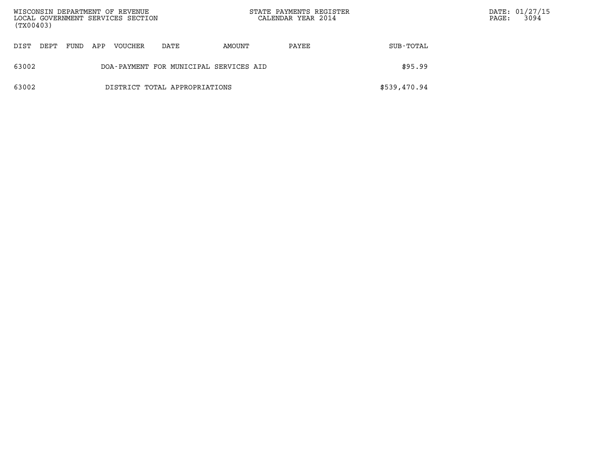| (TX00403) |      |      |     | WISCONSIN DEPARTMENT OF REVENUE<br>LOCAL GOVERNMENT SERVICES SECTION |                                        | STATE PAYMENTS REGISTER<br>CALENDAR YEAR 2014 |       | $\mathtt{PAGE}$ : | DATE: 01/27/15<br>3094 |  |
|-----------|------|------|-----|----------------------------------------------------------------------|----------------------------------------|-----------------------------------------------|-------|-------------------|------------------------|--|
| DIST      | DEPT | FUND | APP | VOUCHER                                                              | DATE                                   | AMOUNT                                        | PAYEE | SUB-TOTAL         |                        |  |
| 63002     |      |      |     |                                                                      | DOA-PAYMENT FOR MUNICIPAL SERVICES AID |                                               |       | \$95.99           |                        |  |
| 63002     |      |      |     |                                                                      | DISTRICT TOTAL APPROPRIATIONS          |                                               |       | \$539,470.94      |                        |  |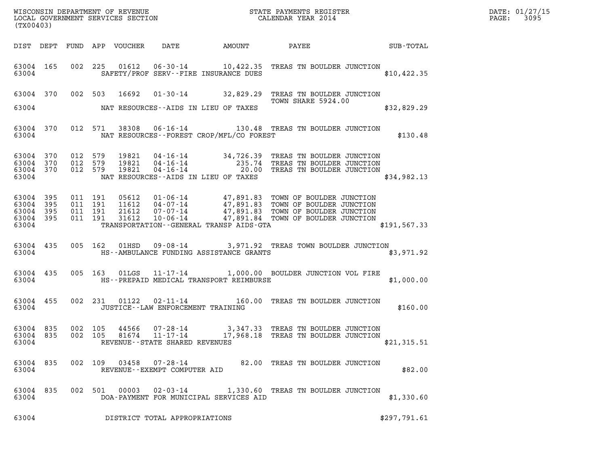| $\texttt{DATE}$ : | 01/27/15 |
|-------------------|----------|
| PAGE:             | 3095     |

| (TX00403)                                                 |           |                               |                               |                         |                                       |                                               |                                                                                                                                                                                                                              |               | DATE: 01/27/15<br>3095<br>$\mathtt{PAGE:}$ |
|-----------------------------------------------------------|-----------|-------------------------------|-------------------------------|-------------------------|---------------------------------------|-----------------------------------------------|------------------------------------------------------------------------------------------------------------------------------------------------------------------------------------------------------------------------------|---------------|--------------------------------------------|
|                                                           |           |                               |                               |                         |                                       |                                               | DIST DEPT FUND APP VOUCHER DATE AMOUNT PAYEE TO SUB-TOTAL                                                                                                                                                                    |               |                                            |
| 63004                                                     | 63004 165 |                               |                               |                         | SAFETY/PROF SERV--FIRE INSURANCE DUES |                                               | 002 225 01612 06-30-14 10,422.35 TREAS TN BOULDER JUNCTION                                                                                                                                                                   | \$10,422.35   |                                            |
| 63004                                                     |           |                               |                               | 63004 370 002 503 16692 | NAT RESOURCES--AIDS IN LIEU OF TAXES  |                                               | 01-30-14 32,829.29 TREAS TN BOULDER JUNCTION<br>TOWN SHARE 5924.00                                                                                                                                                           | \$32,829.29   |                                            |
| 63004                                                     | 63004 370 |                               |                               |                         |                                       | NAT RESOURCES - FOREST CROP/MFL/CO FOREST     | 012 571 38308 06-16-14 130.48 TREAS TN BOULDER JUNCTION                                                                                                                                                                      | \$130.48      |                                            |
| 63004 370<br>63004 370<br>63004 370<br>63004              |           | 012 579<br>012 579<br>012 579 |                               |                         | NAT RESOURCES--AIDS IN LIEU OF TAXES  |                                               | 19821  04-16-14  34,726.39  TREAS TN BOULDER JUNCTION<br>19821  04-16-14  235.74  TREAS TN BOULDER JUNCTION<br>19821  04-16-14  20.00  TREAS TN BOULDER JUNCTION                                                             | \$34,982.13   |                                            |
| 63004 395<br>63004 395<br>63004 395<br>63004 395<br>63004 |           | 011 191                       | 011 191<br>011 191<br>011 191 | 05612                   |                                       | TRANSPORTATION - - GENERAL TRANSP AIDS - GTA  | 05612  01-06-14  47,891.83  TOWN OF BOULDER JUNCTION<br>11612  04-07-14  47,891.83  TOWN OF BOULDER JUNCTION<br>21612  07-07-14  47,891.83  TOWN OF BOULDER JUNCTION<br>31612  10-06-14  47,891.84  TOWN OF BOULDER JUNCTION | \$191, 567.33 |                                            |
|                                                           |           |                               |                               |                         |                                       | 63004 HS--AMBULANCE FUNDING ASSISTANCE GRANTS | 63004 435 005 162 01HSD 09-08-14 3,971.92 TREAS TOWN BOULDER JUNCTION                                                                                                                                                        | \$3,971.92    |                                            |
|                                                           |           |                               |                               |                         |                                       | 63004 HS--PREPAID MEDICAL TRANSPORT REIMBURSE | 63004 435 005 163 01LGS 11-17-14 1,000.00 BOULDER JUNCTION VOL FIRE                                                                                                                                                          | \$1,000.00    |                                            |
| 63004                                                     | 63004 455 |                               |                               |                         | JUSTICE - - LAW ENFORCEMENT TRAINING  |                                               | 002 231 01122 02-11-14 160.00 TREAS TN BOULDER JUNCTION                                                                                                                                                                      | \$160.00      |                                            |
| 63004 835<br>63004                                        | 63004 835 |                               |                               |                         | REVENUE--STATE SHARED REVENUES        |                                               | 002  105  44566  07-28-14  3,347.33  TREAS TN BOULDER JUNCTION<br>002  105  81674  11-17-14  17,968.18  TREAS TN BOULDER JUNCTION                                                                                            | \$21,315.51   |                                            |
| 63004 835<br>63004                                        |           |                               |                               |                         | REVENUE--EXEMPT COMPUTER AID          |                                               | 002 109 03458 07-28-14 82.00 TREAS TN BOULDER JUNCTION                                                                                                                                                                       | \$82.00       |                                            |
| 63004 835<br>63004                                        |           |                               |                               |                         |                                       | DOA-PAYMENT FOR MUNICIPAL SERVICES AID        | 002 501 00003 02-03-14 1,330.60 TREAS TN BOULDER JUNCTION                                                                                                                                                                    | \$1,330.60    |                                            |
| 63004                                                     |           |                               |                               |                         | DISTRICT TOTAL APPROPRIATIONS         |                                               |                                                                                                                                                                                                                              | \$297,791.61  |                                            |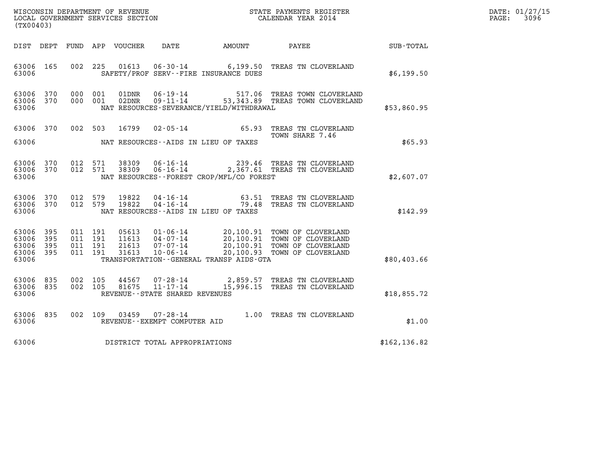| DATE: | 01/27/15 |
|-------|----------|
| PAGE: | 3096     |

| (TX00403)                                     |                   |                    |                    |                                 |                                                                 |                                          | %WISCONSIN DEPARTMENT OF REVENUE $$\tt STATE$ PAYMENTS REGISTER LOCAL GOVERNMENT SERVICES SECTION $$\tt CALEINDAR$ YEAR 2014                                     |               | DATE: 01/27/15<br>$\mathtt{PAGE:}$<br>3096 |
|-----------------------------------------------|-------------------|--------------------|--------------------|---------------------------------|-----------------------------------------------------------------|------------------------------------------|------------------------------------------------------------------------------------------------------------------------------------------------------------------|---------------|--------------------------------------------|
|                                               |                   |                    |                    | DIST DEPT FUND APP VOUCHER DATE |                                                                 | AMOUNT                                   | PAYEE                                                                                                                                                            | SUB-TOTAL     |                                            |
| 63006 165<br>63006                            |                   |                    |                    | 002 225 01613                   |                                                                 | SAFETY/PROF SERV--FIRE INSURANCE DUES    | 06-30-14 6,199.50 TREAS TN CLOVERLAND                                                                                                                            | \$6,199.50    |                                            |
| 63006 370<br>63006 370<br>63006               |                   | 000 001            | 000 001            | 01DNR<br>02DNR                  |                                                                 | NAT RESOURCES-SEVERANCE/YIELD/WITHDRAWAL | 06-19-14 517.06 TREAS TOWN CLOVERLAND<br>09-11-14 53,343.89 TREAS TOWN CLOVERLAND                                                                                | \$53,860.95   |                                            |
| 63006 370<br>63006                            |                   |                    | 002 503            | 16799                           |                                                                 | NAT RESOURCES--AIDS IN LIEU OF TAXES     | 02-05-14 65.93 TREAS TN CLOVERLAND<br>TOWN SHARE 7.46                                                                                                            | \$65.93       |                                            |
| 63006 370<br>63006 370<br>63006               |                   |                    | 012 571<br>012 571 | 38309<br>38309                  | $06 - 16 - 14$                                                  | NAT RESOURCES--FOREST CROP/MFL/CO FOREST | 239.46 TREAS TN CLOVERLAND<br>06-16-14 2,367.61 TREAS TN CLOVERLAND                                                                                              | \$2,607.07    |                                            |
| 63006 370<br>63006 370<br>63006               |                   | 012 579<br>012 579 |                    | 19822<br>19822                  |                                                                 | NAT RESOURCES -- AIDS IN LIEU OF TAXES   | 04-16-14 63.51 TREAS TN CLOVERLAND<br>04-16-14 79.48 TREAS TN CLOVERLAND                                                                                         | \$142.99      |                                            |
| 63006<br>63006<br>63006<br>63006 395<br>63006 | 395<br>395<br>395 | 011 191<br>011 191 | 011 191<br>011 191 | 21613<br>31613                  | 07-07-14<br>07 - 07 - 14<br>10 - 06 - 14                        | TRANSPORTATION--GENERAL TRANSP AIDS-GTA  | 05613  01-06-14  20,100.91  TOWN OF CLOVERLAND<br>11613  04-07-14  20,100.91  TOWN OF CLOVERLAND<br>20,100.91 TOWN OF CLOVERLAND<br>20,100.93 TOWN OF CLOVERLAND | \$80,403.66   |                                            |
| 63006<br>63006<br>63006                       | 835<br>835        | 002<br>002         | 105<br>105         | 44567<br>81675                  | 07-28-14<br>$11 - 17 - 14$<br>REVENUE - - STATE SHARED REVENUES |                                          | 2,859.57 TREAS TN CLOVERLAND<br>15,996.15 TREAS TN CLOVERLAND                                                                                                    | \$18,855.72   |                                            |
| 63006<br>63006                                | 835               |                    | 002 109            | 03459                           | REVENUE--EXEMPT COMPUTER AID                                    |                                          | 07-28-14 1.00 TREAS TN CLOVERLAND                                                                                                                                | \$1.00        |                                            |
| 63006                                         |                   |                    |                    |                                 | DISTRICT TOTAL APPROPRIATIONS                                   |                                          |                                                                                                                                                                  | \$162, 136.82 |                                            |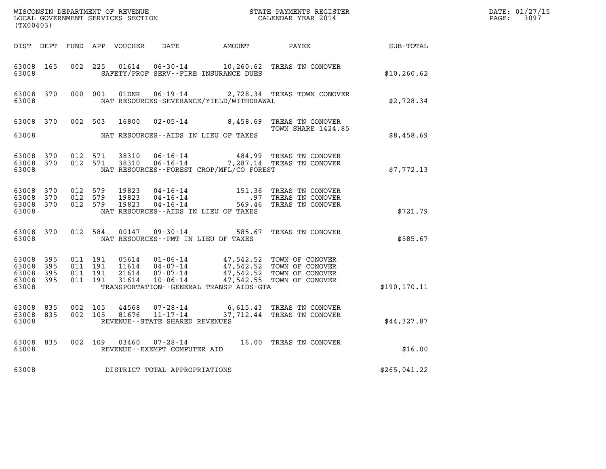| (TX00403)                                             |     |                               |                               |                         |                                   |                                              |                                                                                                                                                                                          |               | DATE: 01/27/15<br>$\mathtt{PAGE:}$<br>3097 |
|-------------------------------------------------------|-----|-------------------------------|-------------------------------|-------------------------|-----------------------------------|----------------------------------------------|------------------------------------------------------------------------------------------------------------------------------------------------------------------------------------------|---------------|--------------------------------------------|
|                                                       |     |                               |                               |                         |                                   |                                              | DIST DEPT FUND APP VOUCHER DATE AMOUNT PAYEE TOTAL                                                                                                                                       |               |                                            |
| 63008 165<br>63008                                    |     |                               |                               |                         |                                   | SAFETY/PROF SERV--FIRE INSURANCE DUES        | 002 225 01614 06-30-14 10,260.62 TREAS TN CONOVER                                                                                                                                        | \$10, 260.62  |                                            |
| 63008 370<br>63008                                    |     |                               |                               |                         |                                   | NAT RESOURCES-SEVERANCE/YIELD/WITHDRAWAL     | 000 001 01DNR 06-19-14 2,728.34 TREAS TOWN CONOVER                                                                                                                                       | \$2,728.34    |                                            |
| 63008                                                 |     |                               |                               |                         |                                   | NAT RESOURCES--AIDS IN LIEU OF TAXES         | 63008 370 002 503 16800 02-05-14 8,458.69 TREAS TN CONOVER<br>TOWN SHARE 1424.85                                                                                                         | \$8,458.69    |                                            |
| 63008 370<br>63008                                    |     | 63008 370 012 571             | 012 571                       | 38310<br>38310          |                                   | NAT RESOURCES--FOREST CROP/MFL/CO FOREST     | 06-16-14 484.99 TREAS TN CONOVER<br>06-16-14 7,287.14 TREAS TN CONOVER                                                                                                                   | \$7,772.13    |                                            |
| 63008 370<br>63008 370<br>63008 370<br>63008          |     | 012 579<br>012 579<br>012 579 |                               | 19823<br>19823<br>19823 |                                   | NAT RESOURCES--AIDS IN LIEU OF TAXES         | 04-16-14 151.36 TREAS TN CONOVER<br>04-16-14 151.36 TREAS TN CONOVER<br>04-16-14 569.46 TREAS TN CONOVER                                                                                 | \$721.79      |                                            |
| 63008 370<br>63008                                    |     |                               |                               |                         |                                   | NAT RESOURCES--PMT IN LIEU OF TAXES          | 012 584 00147 09-30-14 585.67 TREAS TN CONOVER                                                                                                                                           | \$585.67      |                                            |
| 63008 395<br>63008<br>63008 395<br>63008 395<br>63008 | 395 | 011 191                       | 011 191<br>011 191<br>011 191 |                         |                                   | TRANSPORTATION - - GENERAL TRANSP AIDS - GTA | 05614  01-06-14  47,542.52  TOWN OF CONOVER<br>11614  04-07-14  47,542.52  TOWN OF CONOVER<br>21614  07-07-14  47,542.52  TOWN OF CONOVER<br>31614  10-06-14  47,542.55  TOWN OF CONOVER | \$190, 170.11 |                                            |
| 63008 835<br>63008 835<br>63008                       |     | 002 105<br>002 105            |                               |                         | REVENUE - - STATE SHARED REVENUES |                                              | $44568$ 07-28-14   6,615.43 TREAS TN CONOVER<br>81676   11-17-14   37,712.44 TREAS TN CONOVER                                                                                            | \$44,327.87   |                                            |
| 63008 835<br>63008                                    |     |                               |                               |                         | REVENUE--EXEMPT COMPUTER AID      |                                              | 002 109 03460 07-28-14 16.00 TREAS TN CONOVER                                                                                                                                            | \$16.00       |                                            |
| 63008                                                 |     |                               |                               |                         | DISTRICT TOTAL APPROPRIATIONS     |                                              |                                                                                                                                                                                          | \$265,041.22  |                                            |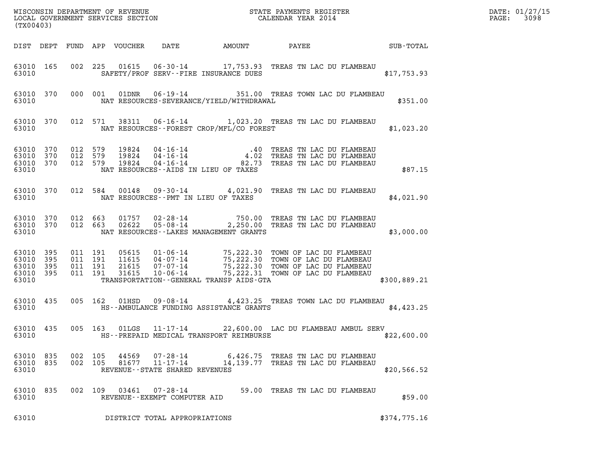| (TX00403)                                                 |           |                   |                               |                                  |                                |                                              |                                                                                                                                                                                      |              | DATE: 01/27/15<br>3098<br>$\mathtt{PAGE:}$ |
|-----------------------------------------------------------|-----------|-------------------|-------------------------------|----------------------------------|--------------------------------|----------------------------------------------|--------------------------------------------------------------------------------------------------------------------------------------------------------------------------------------|--------------|--------------------------------------------|
|                                                           |           |                   |                               |                                  |                                |                                              |                                                                                                                                                                                      |              |                                            |
| 63010                                                     | 63010 165 |                   |                               |                                  |                                | SAFETY/PROF SERV--FIRE INSURANCE DUES        | 002 225 01615 06-30-14 17,753.93 TREAS TN LAC DU FLAMBEAU                                                                                                                            | \$17,753.93  |                                            |
| 63010                                                     |           |                   |                               |                                  |                                | NAT RESOURCES-SEVERANCE/YIELD/WITHDRAWAL     | 63010 370 000 001 01DNR 06-19-14 351.00 TREAS TOWN LAC DU FLAMBEAU                                                                                                                   | \$351.00     |                                            |
| 63010                                                     | 63010 370 |                   |                               |                                  |                                |                                              | 012 571 38311 06-16-14 1,023.20 TREAS TN LAC DU FLAMBEAU<br>NAT RESOURCES--FOREST CROP/MFL/CO FOREST                                                                                 | \$1,023.20   |                                            |
| 63010 370<br>63010 370<br>63010                           | 63010 370 | 012 579           | 012 579<br>012 579            | 19824<br>19824<br>19824          |                                | NAT RESOURCES--AIDS IN LIEU OF TAXES         | 04-16-14 .40 TREAS TN LAC DU FLAMBEAU<br>04-16-14 4.02 TREAS TN LAC DU FLAMBEAU<br>04-16-14 82.73 TREAS TN LAC DU FLAMBEAU                                                           | \$87.15      |                                            |
| 63010                                                     |           |                   |                               | 63010 370 012 584 00148          |                                | NAT RESOURCES--PMT IN LIEU OF TAXES          | 09-30-14 4,021.90 TREAS TN LAC DU FLAMBEAU                                                                                                                                           | \$4,021.90   |                                            |
| 63010 370<br>63010                                        |           | 63010 370 012 663 | 012 663                       |                                  |                                | NAT RESOURCES--LAKES MANAGEMENT GRANTS       | 01757  02-28-14  750.00  TREAS TN LAC DU FLAMBEAU<br>02622  05-08-14  2,250.00  TREAS TN LAC DU FLAMBEAU                                                                             | \$3,000.00   |                                            |
| 63010 395<br>63010 395<br>63010 395<br>63010 395<br>63010 |           | 011 191           | 011 191<br>011 191<br>011 191 | 05615<br>11615<br>21615<br>31615 |                                | TRANSPORTATION - - GENERAL TRANSP AIDS - GTA | 01-06-14 75,222.30 TOWN OF LAC DU FLAMBEAU<br>04-07-14 75,222.30 TOWN OF LAC DU FLAMBEAU<br>07-07-14 75,222.30 TOWN OF LAC DU FLAMBEAU<br>10-06-14 75,222.31 TOWN OF LAC DU FLAMBEAU | \$300,889.21 |                                            |
| 63010                                                     |           | 63010 435 005 162 |                               |                                  |                                | HS--AMBULANCE FUNDING ASSISTANCE GRANTS      | 01HSD 09-08-14 4,423.25 TREAS TOWN LAC DU FLAMBEAU                                                                                                                                   | \$4,423.25   |                                            |
| 63010                                                     |           |                   |                               |                                  |                                | HS--PREPAID MEDICAL TRANSPORT REIMBURSE      | 63010 435 005 163 01LGS 11-17-14 22,600.00 LAC DU FLAMBEAU AMBUL SERV                                                                                                                | \$22,600.00  |                                            |
| 63010 835<br>63010 835<br>63010                           |           | 002 105           | 002 105                       | 44569                            | REVENUE--STATE SHARED REVENUES |                                              | 07-28-14 6,426.75 TREAS TN LAC DU FLAMBEAU<br>81677 11-17-14 14,139.77 TREAS TN LAC DU FLAMBEAU                                                                                      | \$20,566.52  |                                            |
| 63010 835<br>63010                                        |           |                   | 002 109                       |                                  | REVENUE--EXEMPT COMPUTER AID   |                                              | 03461  07-28-14  59.00 TREAS TN LAC DU FLAMBEAU                                                                                                                                      | \$59.00      |                                            |
| 63010                                                     |           |                   |                               |                                  | DISTRICT TOTAL APPROPRIATIONS  |                                              |                                                                                                                                                                                      | \$374,775.16 |                                            |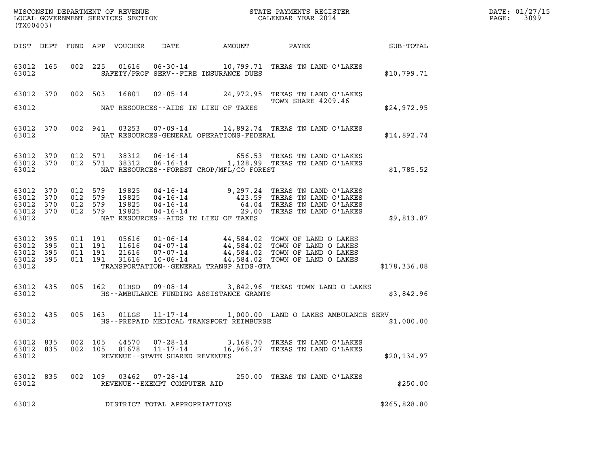| DATE: | 01/27/15 |
|-------|----------|
| PAGE: | 3099     |

| (TX00403)                                             |           |         |                               |                |                                                                 |                                                | WISCONSIN DEPARTMENT OF REVENUE<br>LOCAL GOVERNMENT SERVICES SECTION<br>CALENDAR YEAR 2014                                                                                                                               |              | DATE: 01/27/15<br>3099<br>$\mathtt{PAGE:}$ |
|-------------------------------------------------------|-----------|---------|-------------------------------|----------------|-----------------------------------------------------------------|------------------------------------------------|--------------------------------------------------------------------------------------------------------------------------------------------------------------------------------------------------------------------------|--------------|--------------------------------------------|
|                                                       |           |         |                               |                |                                                                 |                                                |                                                                                                                                                                                                                          |              |                                            |
| 63012                                                 | 63012 165 |         |                               |                |                                                                 | SAFETY/PROF SERV--FIRE INSURANCE DUES          | 002 225 01616 06-30-14 10,799.71 TREAS TN LAND O'LAKES                                                                                                                                                                   | \$10,799.71  |                                            |
|                                                       |           |         |                               |                |                                                                 |                                                | 63012 370 002 503 16801 02-05-14 24,972.95 TREAS TN LAND O'LAKES<br>TOWN SHARE 4209.46                                                                                                                                   |              |                                            |
| 63012                                                 |           |         |                               |                |                                                                 | NAT RESOURCES--AIDS IN LIEU OF TAXES           |                                                                                                                                                                                                                          | \$24,972.95  |                                            |
|                                                       |           |         |                               |                |                                                                 | 63012 NAT RESOURCES-GENERAL OPERATIONS-FEDERAL | 63012 370 002 941 03253 07-09-14 14,892.74 TREAS TN LAND O'LAKES                                                                                                                                                         | \$14,892.74  |                                            |
| 63012 370<br>63012                                    | 63012 370 |         |                               |                |                                                                 | NAT RESOURCES - FOREST CROP/MFL/CO FOREST      | 012 571 38312 06-16-14 656.53 TREAS TN LAND O'LAKES<br>012 571 38312 06-16-14 1,128.99 TREAS TN LAND O'LAKES                                                                                                             | \$1,785.52   |                                            |
| 63012 370<br>63012 370<br>63012 370<br>63012          | 63012 370 |         |                               |                |                                                                 | NAT RESOURCES--AIDS IN LIEU OF TAXES           | 012 579 19825 04-16-14 9,297.24 TREAS TN LAND O'LAKES<br>012 579 19825 04-16-14 423.59 TREAS TN LAND O'LAKES<br>012 579 19825 04-16-14 64.04 TREAS TN LAND O'LAKES<br>012 579 19825 04-16-14 29.00 TREAS TN LAND O'LAKES | \$9,813.87   |                                            |
| 63012<br>63012 395<br>63012 395<br>63012 395<br>63012 | 395       | 011 191 | 011 191<br>011 191<br>011 191 |                |                                                                 | TRANSPORTATION--GENERAL TRANSP AIDS-GTA        | 05616  01-06-14  44,584.02  TOWN OF LAND O LAKES<br>11616  04-07-14  44,584.02  TOWN OF LAND O LAKES<br>21616  07-07-14  44,584.02  TOWN OF LAND O LAKES<br>31616  10-06-14  44,584.02  TOWN OF LAND O LAKES             | \$178,336.08 |                                            |
| 63012                                                 | 63012 435 |         |                               |                |                                                                 | HS--AMBULANCE FUNDING ASSISTANCE GRANTS        | 005 162 01HSD 09-08-14 3,842.96 TREAS TOWN LAND O LAKES                                                                                                                                                                  | \$3,842.96   |                                            |
| 63012                                                 | 63012 435 |         |                               |                |                                                                 | HS--PREPAID MEDICAL TRANSPORT REIMBURSE        | 005 163 01LGS 11-17-14 1,000.00 LAND O LAKES AMBULANCE SERV                                                                                                                                                              | \$1,000.00   |                                            |
| 63012 835<br>63012 835<br>63012                       |           | 002 105 | 002 105                       | 44570<br>81678 | 07-28-14<br>$11 - 17 - 14$<br>REVENUE - - STATE SHARED REVENUES |                                                | 3,168.70 TREAS TN LAND O'LAKES<br>16,966.27 TREAS TN LAND O'LAKES                                                                                                                                                        | \$20,134.97  |                                            |
| 63012 835<br>63012                                    |           |         | 002 109                       |                | 03462 07-28-14<br>REVENUE--EXEMPT COMPUTER AID                  |                                                | 250.00 TREAS TN LAND O'LAKES                                                                                                                                                                                             | \$250.00     |                                            |
| 63012                                                 |           |         |                               |                | DISTRICT TOTAL APPROPRIATIONS                                   |                                                |                                                                                                                                                                                                                          | \$265,828.80 |                                            |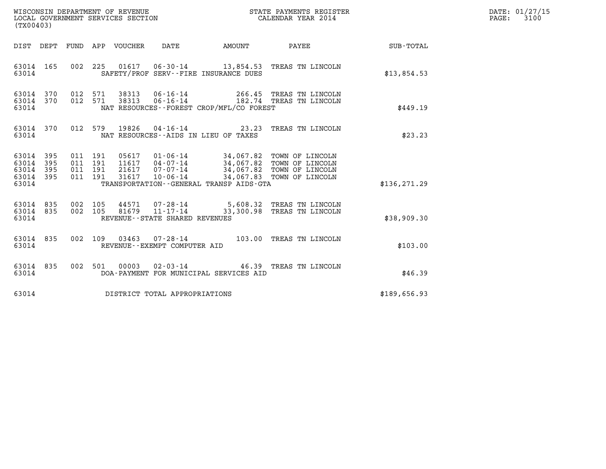| (TX00403)                                         |            |                                          |         |                                 | WISCONSIN DEPARTMENT OF REVENUE<br>LOCAL GOVERNMENT SERVICES SECTION |                                          | STATE PAYMENTS REGISTER<br>CALENDAR YEAR 2014                                                                                                                                         |               | DATE: 01/27/15<br>$\mathtt{PAGE:}$<br>3100 |
|---------------------------------------------------|------------|------------------------------------------|---------|---------------------------------|----------------------------------------------------------------------|------------------------------------------|---------------------------------------------------------------------------------------------------------------------------------------------------------------------------------------|---------------|--------------------------------------------|
|                                                   |            |                                          |         | DIST DEPT FUND APP VOUCHER DATE |                                                                      |                                          | AMOUNT PAYEE SUB-TOTAL                                                                                                                                                                |               |                                            |
| 63014 165<br>63014                                |            |                                          |         |                                 |                                                                      | SAFETY/PROF SERV--FIRE INSURANCE DUES    | 002 225 01617 06-30-14 13,854.53 TREAS TN LINCOLN                                                                                                                                     | \$13,854.53   |                                            |
| 63014 370<br>63014 370<br>63014                   |            | 012 571<br>012 571                       |         |                                 |                                                                      | NAT RESOURCES--FOREST CROP/MFL/CO FOREST | 38313  06-16-14  266.45  TREAS TN LINCOLN  38313  06-16-14   182.74  TREAS TN LINCOLN                                                                                                 | \$449.19      |                                            |
| 63014 370<br>63014                                |            |                                          | 012 579 | 19826                           |                                                                      | NAT RESOURCES -- AIDS IN LIEU OF TAXES   | 04-16-14 23.23 TREAS TN LINCOLN                                                                                                                                                       | \$23.23       |                                            |
| 63014 395<br>63014<br>63014<br>63014 395<br>63014 | 395<br>395 | 011 191<br>011 191<br>011 191<br>011 191 |         | 31617                           |                                                                      | TRANSPORTATION--GENERAL TRANSP AIDS-GTA  | 05617  01-06-14  34,067.82  TOWN OF LINCOLN<br>11617  04-07-14  34,067.82  TOWN OF LINCOLN<br>21617  07-07-14  34,067.82  TOWN OF LINCOLN 31617  10-06-14  34,067.83  TOWN OF LINCOLN | \$136, 271.29 |                                            |
| 63014 835<br>63014 835<br>63014                   |            | 002 105<br>002 105                       |         | 44571<br>81679                  | $11 - 17 - 14$<br>REVENUE - - STATE SHARED REVENUES                  |                                          | 07-28-14 5,608.32 TREAS TN LINCOLN<br>33,300.98 TREAS TN LINCOLN                                                                                                                      | \$38,909.30   |                                            |
| 63014 835<br>63014                                |            |                                          | 002 109 |                                 | REVENUE--EXEMPT COMPUTER AID                                         |                                          | 03463  07-28-14  103.00  TREAS TN LINCOLN                                                                                                                                             | \$103.00      |                                            |
| 63014 835<br>63014                                |            |                                          |         |                                 |                                                                      | DOA-PAYMENT FOR MUNICIPAL SERVICES AID   | 002 501 00003 02-03-14 46.39 TREAS TN LINCOLN                                                                                                                                         | \$46.39       |                                            |
| 63014                                             |            |                                          |         |                                 | DISTRICT TOTAL APPROPRIATIONS                                        |                                          |                                                                                                                                                                                       | \$189,656.93  |                                            |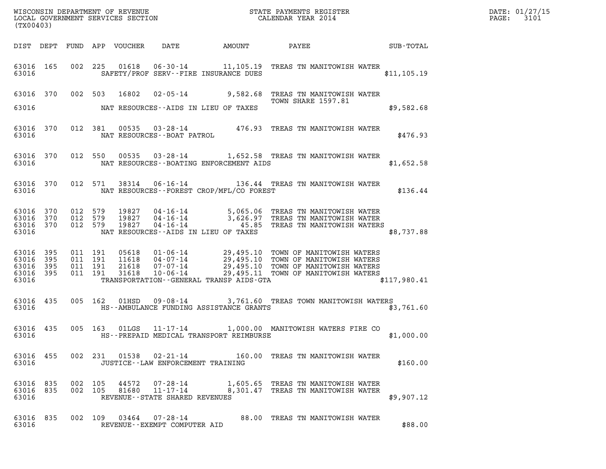| DATE: | 01/27/15 |
|-------|----------|
| PAGE: | 3101     |

| (TX00403)                                         |              |                               |                                 |                                      |                                           |                                                                                                                                                                                                                                  |              | DATE: 01/27/15<br>$\mathtt{PAGE:}$<br>3101 |
|---------------------------------------------------|--------------|-------------------------------|---------------------------------|--------------------------------------|-------------------------------------------|----------------------------------------------------------------------------------------------------------------------------------------------------------------------------------------------------------------------------------|--------------|--------------------------------------------|
|                                                   |              |                               | DIST DEPT FUND APP VOUCHER DATE |                                      |                                           | AMOUNT PAYEE SUB-TOTAL                                                                                                                                                                                                           |              |                                            |
| 63016 165<br>63016                                |              |                               |                                 |                                      | SAFETY/PROF SERV--FIRE INSURANCE DUES     | 002 225 01618 06-30-14 11,105.19 TREAS TN MANITOWISH WATER                                                                                                                                                                       | \$11, 105.19 |                                            |
|                                                   |              |                               |                                 |                                      |                                           | 63016 370 002 503 16802 02-05-14 9,582.68 TREAS TN MANITOWISH WATER<br>TOWN SHARE 1597.81<br>TOWN SHARE 1597.81                                                                                                                  |              |                                            |
| 63016                                             |              |                               |                                 |                                      | NAT RESOURCES--AIDS IN LIEU OF TAXES      |                                                                                                                                                                                                                                  | \$9,582.68   |                                            |
| 63016 370<br>63016                                |              |                               | NAT RESOURCES - - BOAT PATROL   |                                      |                                           | 012 381 00535 03-28-14 476.93 TREAS TN MANITOWISH WATER                                                                                                                                                                          | \$476.93     |                                            |
| 63016 370<br>63016                                |              |                               |                                 |                                      | NAT RESOURCES -- BOATING ENFORCEMENT AIDS | 012 550 00535 03-28-14 1,652.58 TREAS TN MANITOWISH WATER                                                                                                                                                                        | \$1,652.58   |                                            |
| 63016 370<br>63016                                |              |                               |                                 |                                      | NAT RESOURCES - FOREST CROP/MFL/CO FOREST | 012 571 38314 06-16-14 136.44 TREAS TN MANITOWISH WATER                                                                                                                                                                          | \$136.44     |                                            |
| 63016<br>63016 370<br>63016<br>63016              | 370<br>370   | 012 579<br>012 579<br>012 579 |                                 |                                      | NAT RESOURCES--AIDS IN LIEU OF TAXES      | 19827  04-16-14  5,065.06  TREAS TN MANITOWISH WATER<br>19827  04-16-14  3,626.97  TREAS TN MANITOWISH WATER<br>19827  04-16-14   45.85  TREAS TN MANITOWISH WATERS                                                              | \$8,737.88   |                                            |
| 63016 395<br>63016<br>63016<br>63016 395<br>63016 | 395<br>- 395 | 011 191<br>011 191            | 011 191<br>011 191              |                                      | TRANSPORTATION--GENERAL TRANSP AIDS-GTA   | 05618  01-06-14  29,495.10  TOWN OF MANITOWISH WATERS<br>11618  04-07-14  29,495.10  TOWN OF MANITOWISH WATERS<br>21618  07-07-14  29,495.10  TOWN OF MANITOWISH WATERS<br>31618  10-06-14  29,495.11  TOWN OF MANITOWISH WATERS | \$117,980.41 |                                            |
| 63016 435<br>63016                                |              |                               |                                 |                                      | HS--AMBULANCE FUNDING ASSISTANCE GRANTS   | 005 162 01HSD 09-08-14 3,761.60 TREAS TOWN MANITOWISH WATERS                                                                                                                                                                     | \$3,761.60   |                                            |
| 63016 435<br>63016                                |              |                               |                                 |                                      | HS--PREPAID MEDICAL TRANSPORT REIMBURSE   | 005 163 01LGS 11-17-14 1,000.00 MANITOWISH WATERS FIRE CO                                                                                                                                                                        | \$1,000.00   |                                            |
| 63016                                             |              |                               |                                 | JUSTICE - - LAW ENFORCEMENT TRAINING |                                           | 63016 455 002 231 01538 02-21-14 160.00 TREAS TN MANITOWISH WATER                                                                                                                                                                | \$160.00     |                                            |
| 63016 835 002 105<br>63016 835<br>63016           |              |                               | REVENUE--STATE SHARED REVENUES  |                                      |                                           | $\begin{array}{cccc} 002 & 105 & 44572 & 07\text{-}28\text{-}14 & 1,605.65 & \text{TREAS TN MANTOWISH WATER} \\ 002 & 105 & 81680 & 11\text{-}17\text{-}14 & 8,301.47 & \text{TREAS TN MANTTOWISH WATER} \end{array}$            | \$9,907.12   |                                            |
| 63016 835<br>63016                                |              |                               |                                 | REVENUE--EXEMPT COMPUTER AID         |                                           | 002 109 03464 07-28-14 88.00 TREAS TN MANITOWISH WATER                                                                                                                                                                           | \$88.00      |                                            |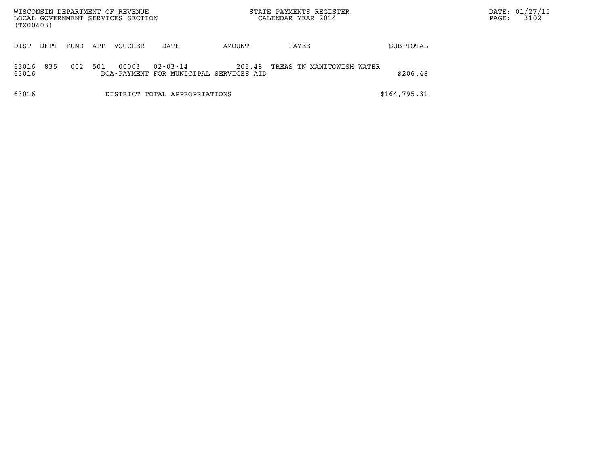|                | WISCONSIN DEPARTMENT OF REVENUE<br>LOCAL GOVERNMENT SERVICES SECTION<br>(TX00403) |      |     |         |                                                          |        | STATE PAYMENTS REGISTER<br>CALENDAR YEAR 2014 |              | PAGE: | DATE: 01/27/15<br>3102 |
|----------------|-----------------------------------------------------------------------------------|------|-----|---------|----------------------------------------------------------|--------|-----------------------------------------------|--------------|-------|------------------------|
| DIST           | DEPT                                                                              | FUND | APP | VOUCHER | DATE                                                     | AMOUNT | PAYEE                                         | SUB-TOTAL    |       |                        |
| 63016<br>63016 | 835                                                                               | 002  | 501 | 00003   | $02 - 03 - 14$<br>DOA-PAYMENT FOR MUNICIPAL SERVICES AID | 206.48 | TREAS TN MANITOWISH WATER                     | \$206.48     |       |                        |
| 63016          |                                                                                   |      |     |         | DISTRICT TOTAL APPROPRIATIONS                            |        |                                               | \$164,795.31 |       |                        |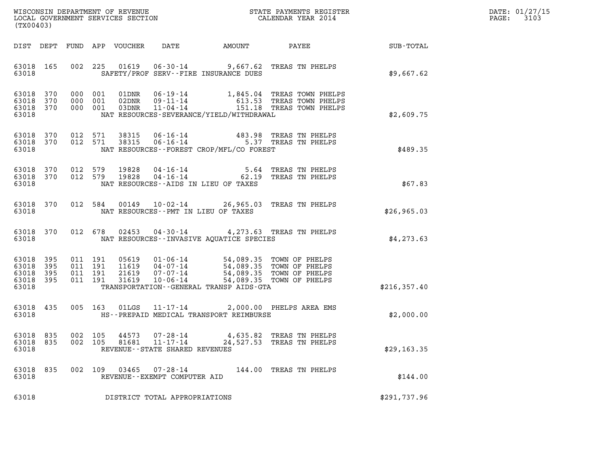| DATE: | 01/27/15 |
|-------|----------|
| PAGE: | 3103     |

| (TX00403)                                                    |                                                                           | %WISCONSIN DEPARTMENT OF REVENUE $$\tt STATE$ PAYMENTS REGISTER LOCAL GOVERNMENT SERVICES SECTION $$\tt CALENDAR$ YEAR 2014                                                                                                                         |                                                       |               | DATE: 01/27/15<br>PAGE: 3103 |
|--------------------------------------------------------------|---------------------------------------------------------------------------|-----------------------------------------------------------------------------------------------------------------------------------------------------------------------------------------------------------------------------------------------------|-------------------------------------------------------|---------------|------------------------------|
|                                                              |                                                                           |                                                                                                                                                                                                                                                     |                                                       |               |                              |
| 63018 165<br>63018                                           |                                                                           | 002 225 01619 06-30-14 9,667.62 TREAS TN PHELPS<br>SAFETY/PROF SERV--FIRE INSURANCE DUES                                                                                                                                                            |                                                       | \$9,667.62    |                              |
| 63018 370<br>63018 370<br>63018 370<br>63018                 |                                                                           | 000 001 01DNR 06-19-14 1,845.04 TREAS TOWN PHELPS<br>000 001 02DNR 09-11-14 613.53 TREAS TOWN PHELPS<br>000 001 03DNR 11-04-14 151.18 TREAS TOWN PHELPS<br>NAT RESOURCES-SEVERANCE/YIELD/WITHDRAWAL                                                 |                                                       | \$2,609.75    |                              |
| 63018                                                        |                                                                           | 63018 370 012 571 38315 06-16-14 483.98 TREAS TN PHELPS<br>63018 370 012 571 38315 06-16-14 5.37 TREAS TN PHELPS<br>NAT RESOURCES - - FOREST CROP/MFL/CO FOREST                                                                                     |                                                       | \$489.35      |                              |
| 63018 370<br>63018 370<br>63018                              |                                                                           | 012 579 19828 04-16-14 5.64 TREAS TN PHELPS<br>012 579 19828 04-16-14 62.19 TREAS TN PHELPS<br>NAT RESOURCES--AIDS IN LIEU OF TAXES                                                                                                                 |                                                       | \$67.83       |                              |
| 63018 370<br>63018                                           |                                                                           | 012 584 00149 10-02-14 26,965.03 TREAS TN PHELPS<br>NAT RESOURCES -- PMT IN LIEU OF TAXES                                                                                                                                                           |                                                       | \$26,965.03   |                              |
| 63018                                                        |                                                                           | 63018 370 012 678 02453 04-30-14 4,273.63 TREAS TN PHELPS<br>NAT RESOURCES - INVASIVE AQUATICE SPECIES                                                                                                                                              |                                                       | \$4,273.63    |                              |
| 63018 395<br>63018<br>395<br>63018 395<br>63018 395<br>63018 |                                                                           | 011 191 05619 01-06-14 54,089.35 TOWN OF PHELPS<br>011 191 11619 04-07-14 54,089.35 TOWN OF PHELPS<br>011 191 21619 07-07-14 54,089.35 TOWN OF PHELPS<br>011 191 31619 10-06-14 54,089.35 TOWN OF PHELPS<br>TRANSPORTATION--GENERAL TRANSP AIDS-GTA |                                                       | \$216, 357.40 |                              |
| 63018 435<br>63018                                           |                                                                           | 005 163 01LGS 11-17-14 2,000.00 PHELPS AREA EMS<br>HS--PREPAID MEDICAL TRANSPORT REIMBURSE                                                                                                                                                          |                                                       | \$2,000.00    |                              |
| 63018 835<br>63018 835<br>63018                              | 002 105<br>44573<br>002 105<br>81681<br>REVENUE - - STATE SHARED REVENUES | $07 - 28 - 14$<br>$11 - 17 - 14$                                                                                                                                                                                                                    | 4,635.82 TREAS TN PHELPS<br>24,527.53 TREAS TN PHELPS | \$29,163.35   |                              |
| 63018 835<br>63018                                           | 002 109 03465<br>REVENUE--EXEMPT COMPUTER AID                             | 07-28-14                                                                                                                                                                                                                                            | 144.00 TREAS TN PHELPS                                | \$144.00      |                              |
| 63018                                                        | DISTRICT TOTAL APPROPRIATIONS                                             |                                                                                                                                                                                                                                                     |                                                       | \$291,737.96  |                              |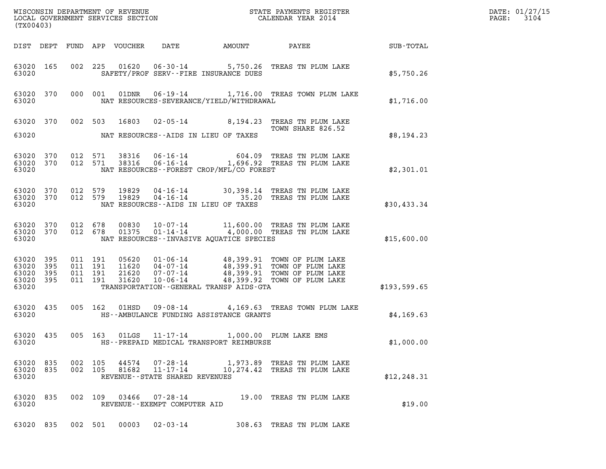| (TX00403)                                             |     |                    |                                  |                                                           |                                                                                          | DATE: 01/27/15<br>3104<br>$\mathtt{PAGE:}$                                                                                                                                                       |              |  |
|-------------------------------------------------------|-----|--------------------|----------------------------------|-----------------------------------------------------------|------------------------------------------------------------------------------------------|--------------------------------------------------------------------------------------------------------------------------------------------------------------------------------------------------|--------------|--|
|                                                       |     |                    | DIST DEPT FUND APP VOUCHER       | DATE                                                      | AMOUNT                                                                                   | <b>PAYEE</b>                                                                                                                                                                                     | SUB-TOTAL    |  |
| 63020 165<br>63020                                    |     |                    |                                  |                                                           | SAFETY/PROF SERV--FIRE INSURANCE DUES                                                    | 002 225 01620 06-30-14 5,750.26 TREAS TN PLUM LAKE                                                                                                                                               | \$5,750.26   |  |
| 63020 370<br>63020                                    |     |                    | 000 001                          |                                                           | NAT RESOURCES-SEVERANCE/YIELD/WITHDRAWAL                                                 | 01DNR  06-19-14   1,716.00 TREAS TOWN PLUM LAKE                                                                                                                                                  | \$1,716.00   |  |
| 63020                                                 |     |                    |                                  | NAT RESOURCES--AIDS IN LIEU OF TAXES                      |                                                                                          | 63020 370 002 503 16803 02-05-14 8,194.23 TREAS TN PLUM LAKE<br>TOWN SHARE 826.52                                                                                                                | \$8,194.23   |  |
| 63020 370<br>63020 370<br>63020                       |     |                    | 012 571<br>012 571               |                                                           | NAT RESOURCES - - FOREST CROP/MFL/CO FOREST                                              | 38316  06-16-14  604.09  TREAS TN PLUM LAKE<br>38316  06-16-14   1,696.92  TREAS TN PLUM LAKE                                                                                                    | \$2,301.01   |  |
| 63020 370<br>63020                                    |     | 012 579            | 63020 370 012 579 19829<br>19829 | NAT RESOURCES--AIDS IN LIEU OF TAXES                      |                                                                                          | 04-16-14 30,398.14 TREAS TN PLUM LAKE<br>04-16-14 35.20 TREAS TN PLUM LAKE                                                                                                                       | \$30,433.34  |  |
| 63020 370<br>63020 370<br>63020                       |     |                    |                                  |                                                           | NAT RESOURCES -- INVASIVE AQUATICE SPECIES                                               | 012 678 00830 10-07-14 11,600.00 TREAS TN PLUM LAKE 012 678 01375 01-14-14 4,000.00 TREAS TN PLUM LAKE                                                                                           | \$15,600.00  |  |
| 63020 395<br>63020<br>63020 395<br>63020 395<br>63020 | 395 | 011 191            | 011 191<br>011 191<br>011 191    |                                                           | TRANSPORTATION--GENERAL TRANSP AIDS-GTA                                                  | 05620  01-06-14  48,399.91  TOWN OF PLUM LAKE<br>11620  04-07-14  48,399.91  TOWN OF PLUM LAKE<br>21620  07-07-14  48,399.91  TOWN OF PLUM LAKE<br>31620  10-06-14  48,399.92  TOWN OF PLUM LAKE | \$193,599.65 |  |
| 63020 435<br>63020                                    |     |                    | 005 162 01HSD                    |                                                           | HS--AMBULANCE FUNDING ASSISTANCE GRANTS                                                  | 09-08-14 4,169.63 TREAS TOWN PLUM LAKE                                                                                                                                                           | \$4,169.63   |  |
| 63020 435<br>63020                                    |     |                    |                                  |                                                           | 005 163 01LGS 11-17-14 1,000.00 PLUM LAKE EMS<br>HS--PREPAID MEDICAL TRANSPORT REIMBURSE |                                                                                                                                                                                                  | \$1,000.00   |  |
| 63020 835<br>63020 835<br>63020                       |     | 002 105<br>002 105 | 44574<br>81682                   | $11 - 17 - 14$<br>REVENUE - - STATE SHARED REVENUES       |                                                                                          | 07-28-14 1,973.89 TREAS TN PLUM LAKE<br>10,274.42 TREAS TN PLUM LAKE                                                                                                                             | \$12, 248.31 |  |
| 63020 835<br>63020                                    |     |                    |                                  | 002 109 03466 07-28-14<br>REVENUE - - EXEMPT COMPUTER AID |                                                                                          | 19.00 TREAS TN PLUM LAKE                                                                                                                                                                         | \$19.00      |  |
| 63020 835                                             |     |                    | 002 501<br>00003                 | $02 - 03 - 14$                                            |                                                                                          | 308.63 TREAS TN PLUM LAKE                                                                                                                                                                        |              |  |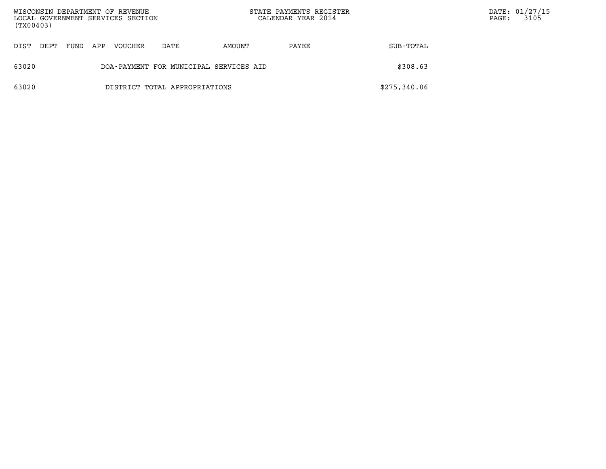| WISCONSIN DEPARTMENT OF REVENUE<br>LOCAL GOVERNMENT SERVICES SECTION<br>(TX00403) |      |      |     |         |                                        |        | STATE PAYMENTS REGISTER<br>CALENDAR YEAR 2014 |              | $\mathtt{PAGE}$ : | DATE: 01/27/15<br>3105 |
|-----------------------------------------------------------------------------------|------|------|-----|---------|----------------------------------------|--------|-----------------------------------------------|--------------|-------------------|------------------------|
| DIST                                                                              | DEPT | FUND | APP | VOUCHER | DATE                                   | AMOUNT | PAYEE                                         | SUB-TOTAL    |                   |                        |
| 63020                                                                             |      |      |     |         | DOA-PAYMENT FOR MUNICIPAL SERVICES AID |        |                                               | \$308.63     |                   |                        |
| 63020                                                                             |      |      |     |         | DISTRICT TOTAL APPROPRIATIONS          |        |                                               | \$275,340.06 |                   |                        |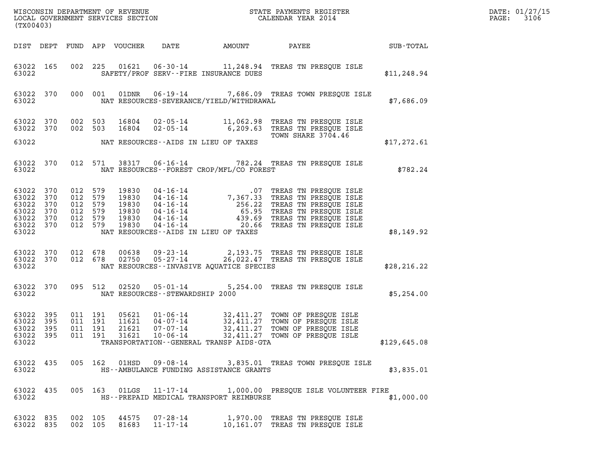| DATE: | 01/27/15 |
|-------|----------|
| PAGE: | 3106     |

| WISCONSIN DEPARTMENT OF REVENUE<br>LOCAL GOVERNMENT SERVICES SECTION<br>CALENDAR YEAR 2014<br>(TX00403) |           |                                                                          |  |       |                                    |                                                 |                                                                                                                                                                                                                                            |              | DATE: 01/27/15<br>PAGE: 3106 |
|---------------------------------------------------------------------------------------------------------|-----------|--------------------------------------------------------------------------|--|-------|------------------------------------|-------------------------------------------------|--------------------------------------------------------------------------------------------------------------------------------------------------------------------------------------------------------------------------------------------|--------------|------------------------------|
|                                                                                                         |           |                                                                          |  |       |                                    |                                                 | DIST DEPT FUND APP VOUCHER DATE AMOUNT PAYEE SUB-TOTAL                                                                                                                                                                                     |              |                              |
| 63022                                                                                                   |           |                                                                          |  |       |                                    | SAFETY/PROF SERV--FIRE INSURANCE DUES           | 63022 165 002 225 01621 06-30-14 11,248.94 TREAS TN PRESQUE ISLE                                                                                                                                                                           | \$11, 248.94 |                              |
| 63022                                                                                                   |           |                                                                          |  |       |                                    |                                                 | 63022 370 000 001 01DNR 06-19-14 7,686.09 TREAS TOWN PRESQUE ISLE<br>NAT RESOURCES-SEVERANCE/YIELD/WITHDRAWAL                                                                                                                              | \$7,686.09   |                              |
|                                                                                                         |           |                                                                          |  |       |                                    |                                                 | 63022 370 002 503 16804 02-05-14 11,062.98 TREAS TN PRESQUE ISLE<br>63022 370 002 503 16804 02-05-14 6,209.63 TREAS TN PRESQUE ISLE<br>TOWN SHARE 3704.46                                                                                  |              |                              |
|                                                                                                         |           |                                                                          |  |       |                                    | T<br>63022 MAT RESOURCES--AIDS IN LIEU OF TAXES |                                                                                                                                                                                                                                            | \$17,272.61  |                              |
|                                                                                                         |           |                                                                          |  |       |                                    | 63022 NAT RESOURCES--FOREST CROP/MFL/CO FOREST  | 63022 370 012 571 38317 06-16-14 782.24 TREAS TN PRESQUE ISLE                                                                                                                                                                              | \$782.24     |                              |
| 63022 370<br>63022 370<br>63022 370<br>63022 370<br>63022                                               | 63022 370 | 63022 370 012 579<br>012 579<br>012 579<br>012 579<br>012 579<br>012 579 |  |       |                                    | NAT RESOURCES--AIDS IN LIEU OF TAXES            | 19830  04-16-14  07 TREAS TN PRESQUE ISLE<br>19830  04-16-14  7,367.33 TREAS TN PRESQUE ISLE<br>19830  04-16-14  256.22 TREAS TN PRESQUE ISLE<br>19830  04-16-14  439.69 TREAS TN PRESQUE ISLE<br>19830  04-16-14  439.69 TREAS TN PRESQUE | \$8,149.92   |                              |
| 63022                                                                                                   |           |                                                                          |  |       |                                    | NAT RESOURCES--INVASIVE AQUATICE SPECIES        | 63022 370 012 678 00638 09-23-14 2,193.75 TREAS TN PRESQUE ISLE<br>63022 370 012 678 02750 05-27-14 26,022.47 TREAS TN PRESQUE ISLE                                                                                                        | \$28, 216.22 |                              |
| 63022                                                                                                   |           |                                                                          |  |       | NAT RESOURCES - - STEWARDSHIP 2000 |                                                 | 63022 370 095 512 02520 05-01-14 5,254.00 TREAS TN PRESQUE ISLE                                                                                                                                                                            | \$5,254.00   |                              |
| 63022 395<br>63022 395<br>63022 395<br>63022                                                            |           | 011 191<br>011 191<br>011 191                                            |  | 21621 | 07-07-14                           | TRANSPORTATION--GENERAL TRANSP AIDS-GTA         | 05621  01-06-14  32,411.27  TOWN OF PRESQUE ISLE<br>11621  04-07-14  32,411.27  TOWN OF PRESQUE ISLE<br>32,411.27 TOWN OF PRESQUE ISLE<br>63022 395 011 191 31621 10-06-14 32,411.27 TOWN OF PRESQUE ISLE                                  | \$129,645.08 |                              |
| 63022                                                                                                   | 63022 435 |                                                                          |  |       |                                    | HS--AMBULANCE FUNDING ASSISTANCE GRANTS         | 005 162 01HSD 09-08-14 3,835.01 TREAS TOWN PRESQUE ISLE                                                                                                                                                                                    | \$3,835.01   |                              |
| 63022                                                                                                   | 63022 435 |                                                                          |  |       |                                    | HS--PREPAID MEDICAL TRANSPORT REIMBURSE         | 005 163 01LGS 11-17-14 1,000.00 PRESQUE ISLE VOLUNTEER FIRE                                                                                                                                                                                | \$1,000.00   |                              |
| 63022 835<br>63022 835                                                                                  |           | 002 105<br>002 105                                                       |  |       |                                    |                                                 | 44575  07-28-14   1,970.00 TREAS TN PRESQUE ISLE<br>81683  11-17-14   10,161.07 TREAS TN PRESQUE ISLE                                                                                                                                      |              |                              |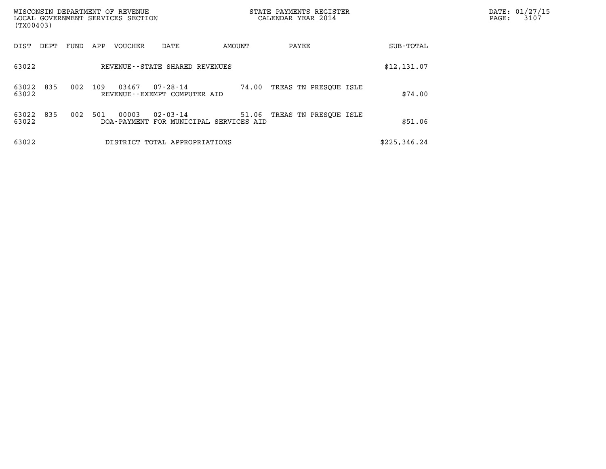| (TX00403)          |                                |      |     | WISCONSIN DEPARTMENT OF REVENUE<br>LOCAL GOVERNMENT SERVICES SECTION |                                                          | STATE PAYMENTS REGISTER<br>CALENDAR YEAR 2014 |                             |  |              |  | $\mathtt{PAGE}$ : | DATE: 01/27/15<br>3107 |
|--------------------|--------------------------------|------|-----|----------------------------------------------------------------------|----------------------------------------------------------|-----------------------------------------------|-----------------------------|--|--------------|--|-------------------|------------------------|
| DIST               | DEPT                           | FUND | APP | VOUCHER                                                              | DATE                                                     | AMOUNT                                        | PAYEE                       |  | SUB-TOTAL    |  |                   |                        |
| 63022              | REVENUE--STATE SHARED REVENUES |      |     |                                                                      |                                                          |                                               |                             |  | \$12,131.07  |  |                   |                        |
| 63022 835<br>63022 |                                | 002  | 109 | 03467                                                                | 07-28-14<br>REVENUE--EXEMPT COMPUTER AID                 | 74.00                                         | TREAS TN PRESOUE ISLE       |  | \$74.00      |  |                   |                        |
| 63022 835<br>63022 |                                | 002  | 501 | 00003                                                                | $02 - 03 - 14$<br>DOA-PAYMENT FOR MUNICIPAL SERVICES AID |                                               | 51.06 TREAS TN PRESQUE ISLE |  | \$51.06      |  |                   |                        |
| 63022              |                                |      |     |                                                                      | DISTRICT TOTAL APPROPRIATIONS                            |                                               |                             |  | \$225,346.24 |  |                   |                        |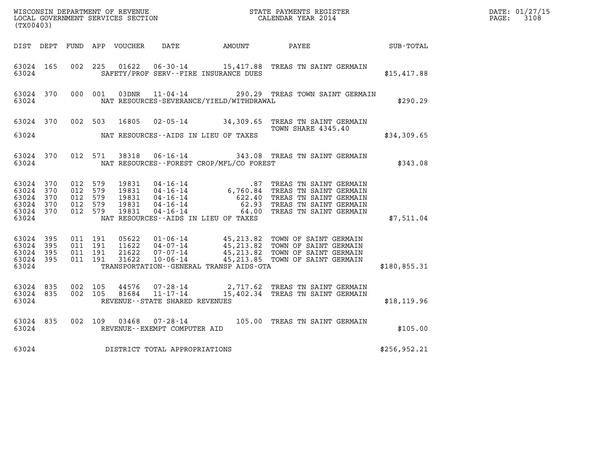| WISCONSIN DEPARTMENT OF REVENUE<br>LOCAL GOVERNMENT SERVICES SECTION<br>CALENDAR YEAR 2014<br>(TX00403) |                        |                               |  |                         |                                   |                                                |                                                                                                                                                                                                                                       |              | DATE: 01/27/15<br>PAGE: 3108 |
|---------------------------------------------------------------------------------------------------------|------------------------|-------------------------------|--|-------------------------|-----------------------------------|------------------------------------------------|---------------------------------------------------------------------------------------------------------------------------------------------------------------------------------------------------------------------------------------|--------------|------------------------------|
|                                                                                                         |                        |                               |  |                         |                                   | DIST DEPT FUND APP VOUCHER DATE AMOUNT PAYEE   | SUB-TOTAL                                                                                                                                                                                                                             |              |                              |
| 63024 165<br>63024                                                                                      |                        |                               |  |                         |                                   | SAFETY/PROF SERV--FIRE INSURANCE DUES          | 002 225 01622 06-30-14 15,417.88 TREAS TN SAINT GERMAIN                                                                                                                                                                               | \$15,417.88  |                              |
| 63024                                                                                                   | 63024 370              |                               |  |                         |                                   | NAT RESOURCES-SEVERANCE/YIELD/WITHDRAWAL       | 000 001 03DNR 11-04-14 290.29 TREAS TOWN SAINT GERMAIN                                                                                                                                                                                | \$290.29     |                              |
|                                                                                                         |                        |                               |  | 63024 370 002 503 16805 |                                   |                                                | 02-05-14 34,309.65 TREAS TN SAINT GERMAIN<br>TOWN SHARE 4345.40                                                                                                                                                                       |              |                              |
|                                                                                                         |                        |                               |  |                         |                                   | 63024 NAT RESOURCES--AIDS IN LIEU OF TAXES     |                                                                                                                                                                                                                                       | \$34,309.65  |                              |
|                                                                                                         |                        |                               |  |                         |                                   | 63024 NAT RESOURCES--FOREST CROP/MFL/CO FOREST | 63024 370 012 571 38318 06-16-14 343.08 TREAS TN SAINT GERMAIN                                                                                                                                                                        | \$343.08     |                              |
| 63024 370<br>63024 370                                                                                  |                        | 012 579<br>012 579            |  |                         |                                   |                                                | 19831  04-16-14   87 TREAS TN SAINT GERMAIN<br>19831  04-16-14   6,760.84 TREAS TN SAINT GERMAIN<br>19831  04-16-14   62.93 TREAS TN SAINT GERMAIN<br>19831  04-16-14   62.93 TREAS TN SAINT GERMAIN<br>19831  04-16-14   64.00 TREAS |              |                              |
| 63024 370<br>63024 370<br>63024 370                                                                     |                        | 012 579<br>012 579<br>012 579 |  |                         |                                   |                                                |                                                                                                                                                                                                                                       |              |                              |
| 63024                                                                                                   |                        |                               |  |                         |                                   | NAT RESOURCES--AIDS IN LIEU OF TAXES           |                                                                                                                                                                                                                                       | \$7,511.04   |                              |
| 63024 395                                                                                               |                        | 63024 395 011 191<br>011 191  |  |                         |                                   |                                                | 05622   01-06-14   45,213.82   TOWN OF SAINT GERMAIN<br>11622   04-07-14   45,213.82   TOWN OF SAINT GERMAIN<br>21622   07-07-14   45,213.82   TOWN OF SAINT GERMAIN<br>1622   10-06-14   45,213.85   TOWN OF SAINT GERMAIN           |              |                              |
| 63024                                                                                                   | 63024 395<br>63024 395 | 011 191<br>011 191            |  |                         |                                   | TRANSPORTATION--GENERAL TRANSP AIDS-GTA        |                                                                                                                                                                                                                                       | \$180,855.31 |                              |
|                                                                                                         | 63024 835              | 002 105                       |  | 44576                   |                                   |                                                | 07-28-14 2,717.62 TREAS TN SAINT GERMAIN                                                                                                                                                                                              |              |                              |
| 63024                                                                                                   | 63024 835              |                               |  | 002 105 81684           | REVENUE - - STATE SHARED REVENUES |                                                | 11-17-14 15,402.34 TREAS TN SAINT GERMAIN                                                                                                                                                                                             | \$18, 119.96 |                              |
| 63024                                                                                                   | 63024 835              |                               |  |                         | REVENUE--EXEMPT COMPUTER AID      |                                                | 002 109 03468 07-28-14 105.00 TREAS TN SAINT GERMAIN                                                                                                                                                                                  | \$105.00     |                              |
| 63024                                                                                                   |                        |                               |  |                         | DISTRICT TOTAL APPROPRIATIONS     |                                                |                                                                                                                                                                                                                                       | \$256,952.21 |                              |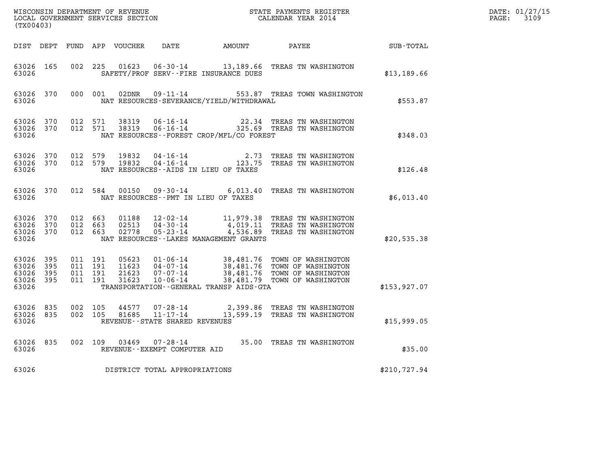| $\tt WISCONSIM DEPARTMENT OF REVENUE$ $\tt WISCONSIMENT$ SERVICES SECTION $\tt WISCONBINENT$ SERVICES SECTION $\tt CALENDAR$ YEAR 2014<br>(TX00403) |                        |                                        |         |                |                                   |                                           |                                                                                                                                                                                                      |              | DATE: 01/27/15<br>$\mathtt{PAGE}$ :<br>3109 |
|-----------------------------------------------------------------------------------------------------------------------------------------------------|------------------------|----------------------------------------|---------|----------------|-----------------------------------|-------------------------------------------|------------------------------------------------------------------------------------------------------------------------------------------------------------------------------------------------------|--------------|---------------------------------------------|
|                                                                                                                                                     |                        |                                        |         |                |                                   |                                           | DIST DEPT FUND APP VOUCHER DATE AMOUNT PAYEE TOTAL                                                                                                                                                   |              |                                             |
| 63026                                                                                                                                               | 63026 165              |                                        |         |                |                                   | SAFETY/PROF SERV--FIRE INSURANCE DUES     | 002 225 01623 06-30-14 13,189.66 TREAS TN WASHINGTON                                                                                                                                                 | \$13,189.66  |                                             |
| 63026                                                                                                                                               |                        |                                        |         |                |                                   | NAT RESOURCES-SEVERANCE/YIELD/WITHDRAWAL  | 63026 370 000 001 02DNR 09-11-14 553.87 TREAS TOWN WASHINGTON                                                                                                                                        | \$553.87     |                                             |
| 63026                                                                                                                                               |                        | 63026 370 012 571<br>63026 370 012 571 |         |                |                                   | NAT RESOURCES--FOREST CROP/MFL/CO FOREST  | 38319  06-16-14  22.34 TREAS TN WASHINGTON<br>38319  06-16-14  325.69 TREAS TN WASHINGTON                                                                                                            | \$348.03     |                                             |
| 63026 370<br>63026                                                                                                                                  |                        | 63026 370 012 579<br>012 579           |         | 19832<br>19832 |                                   | NAT RESOURCES--AIDS IN LIEU OF TAXES      | 04-16-14 2.73 TREAS TN WASHINGTON<br>04-16-14 123.75 TREAS TN WASHINGTON                                                                                                                             | \$126.48     |                                             |
| 63026                                                                                                                                               |                        |                                        |         |                |                                   | NAT RESOURCES -- PMT IN LIEU OF TAXES     | 63026 370 012 584 00150 09-30-14 6,013.40 TREAS TN WASHINGTON                                                                                                                                        | \$6,013.40   |                                             |
| 63026 370<br>63026                                                                                                                                  | 63026 370<br>63026 370 | 012 663<br>012 663<br>012 663          |         | 01188          |                                   | NAT RESOURCES - - LAKES MANAGEMENT GRANTS | 01188   12-02-14   11,979.38 TREAS TN WASHINGTON<br>02513   04-30-14   4,019.11 TREAS TN WASHINGTON<br>02778   05-23-14   4,536.89 TREAS TN WASHINGTON                                               | \$20,535.38  |                                             |
| 63026 395<br>63026 395<br>63026 395<br>63026                                                                                                        | 63026 395              | 011 191<br>011 191<br>011 191          | 011 191 |                |                                   | TRANSPORTATION--GENERAL TRANSP AIDS-GTA   | 05623  01-06-14  38,481.76  TOWN OF WASHINGTON<br>11623  04-07-14  38,481.76  TOWN OF WASHINGTON<br>21623  07-07-14  38,481.76  TOWN OF WASHINGTON<br>31623  10-06-14  38,481.79  TOWN OF WASHINGTON | \$153,927.07 |                                             |
| 63026 835<br>63026                                                                                                                                  |                        | 63026 835 002 105<br>002 105           |         |                | REVENUE - - STATE SHARED REVENUES |                                           | $44577$ 07-28-14  2,399.86 TREAS TN WASHINGTON<br>81685  11-17-14  13,599.19 TREAS TN WASHINGTON                                                                                                     | \$15,999.05  |                                             |
| 63026                                                                                                                                               | 63026 835              |                                        |         |                | REVENUE--EXEMPT COMPUTER AID      |                                           | 002 109 03469 07-28-14 35.00 TREAS TN WASHINGTON                                                                                                                                                     | \$35.00      |                                             |
| 63026                                                                                                                                               |                        |                                        |         |                | DISTRICT TOTAL APPROPRIATIONS     |                                           |                                                                                                                                                                                                      | \$210,727.94 |                                             |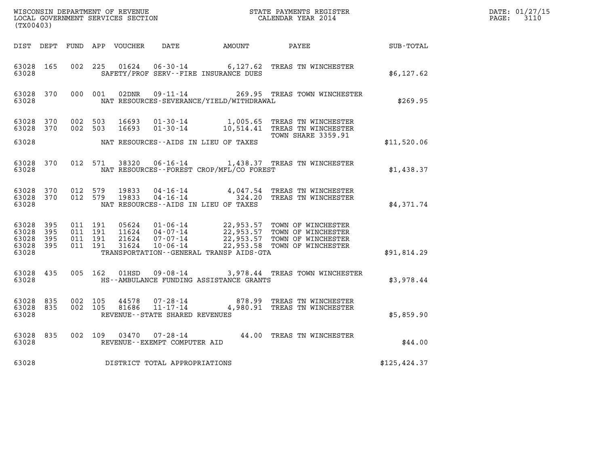| (TX00403)                                |                  |                                          |         |  |                                   |                                              |                                                                                                                                                                                                       |               | DATE: 01/27/15<br>$\mathtt{PAGE:}$<br>3110 |
|------------------------------------------|------------------|------------------------------------------|---------|--|-----------------------------------|----------------------------------------------|-------------------------------------------------------------------------------------------------------------------------------------------------------------------------------------------------------|---------------|--------------------------------------------|
|                                          |                  |                                          |         |  |                                   |                                              | DIST DEPT FUND APP VOUCHER DATE AMOUNT PAYEE SUB-TOTAL                                                                                                                                                |               |                                            |
| 63028 165<br>63028                       |                  |                                          |         |  |                                   | SAFETY/PROF SERV--FIRE INSURANCE DUES        | 002 225 01624 06-30-14 6,127.62 TREAS TN WINCHESTER                                                                                                                                                   | \$6,127.62    |                                            |
| 63028                                    | 63028 370        | 000 001                                  |         |  |                                   | NAT RESOURCES-SEVERANCE/YIELD/WITHDRAWAL     | 02DNR  09-11-14  269.95 TREAS TOWN WINCHESTER                                                                                                                                                         | \$269.95      |                                            |
| 63028 370<br>63028 370                   |                  | 002 503                                  | 002 503 |  |                                   |                                              | 16693  01-30-14  1,005.65  TREAS TN WINCHESTER<br>16693 01-30-14 10,514.41 TREAS TN WINCHESTER<br><b>TOWN SHARE 3359.91</b>                                                                           |               |                                            |
| 63028                                    |                  |                                          |         |  |                                   | NAT RESOURCES--AIDS IN LIEU OF TAXES         |                                                                                                                                                                                                       | \$11,520.06   |                                            |
| 63028                                    | 63028 370        |                                          |         |  |                                   | NAT RESOURCES - - FOREST CROP/MFL/CO FOREST  | 012 571 38320 06-16-14 1,438.37 TREAS TN WINCHESTER                                                                                                                                                   | \$1,438.37    |                                            |
| 63028                                    | 63028 370        | 63028 370 012 579                        |         |  |                                   | NAT RESOURCES--AIDS IN LIEU OF TAXES         | 012 579 19833 04-16-14 4,047.54 TREAS TN WINCHESTER<br>012 579 19833 04-16-14 324.20 TREAS TN WINCHESTER                                                                                              | \$4,371.74    |                                            |
| 63028 395<br>63028<br>63028 395<br>63028 | 395<br>63028 395 | 011 191<br>011 191<br>011 191<br>011 191 |         |  |                                   | TRANSPORTATION - - GENERAL TRANSP AIDS - GTA | 05624  01-06-14  22,953.57 TOWN OF WINCHESTER<br>11624  04-07-14  22,953.57 TOWN OF WINCHESTER<br>21624  07-07-14  22,953.57 TOWN OF WINCHESTER<br>31624  10-06-14  22,953.58 TOWN OF WINCHESTER      | \$91,814.29   |                                            |
|                                          |                  |                                          |         |  |                                   |                                              |                                                                                                                                                                                                       |               |                                            |
| 63028 435<br>63028                       |                  |                                          |         |  |                                   | HS--AMBULANCE FUNDING ASSISTANCE GRANTS      | 005 162 01HSD 09-08-14 3,978.44 TREAS TOWN WINCHESTER                                                                                                                                                 | \$3,978.44    |                                            |
| 63028 835<br>63028 835<br>63028          |                  | 002 105<br>002 105                       |         |  | REVENUE - - STATE SHARED REVENUES |                                              | $\begin{array}{cccc} 44578 & 07\texttt{-}28\texttt{-}14 & 878.99 & \texttt{TREAS TN WINCHESTER} \\ 81686 & 11\texttt{-}17\texttt{-}14 & 4\texttt{,}980.91 & \texttt{TREAS TN WINCHESTER} \end{array}$ | \$5,859.90    |                                            |
| 63028                                    | 63028 835        |                                          |         |  | REVENUE--EXEMPT COMPUTER AID      |                                              | 002 109 03470 07-28-14 44.00 TREAS TN WINCHESTER                                                                                                                                                      | \$44.00       |                                            |
| 63028                                    |                  |                                          |         |  | DISTRICT TOTAL APPROPRIATIONS     |                                              |                                                                                                                                                                                                       | \$125, 424.37 |                                            |